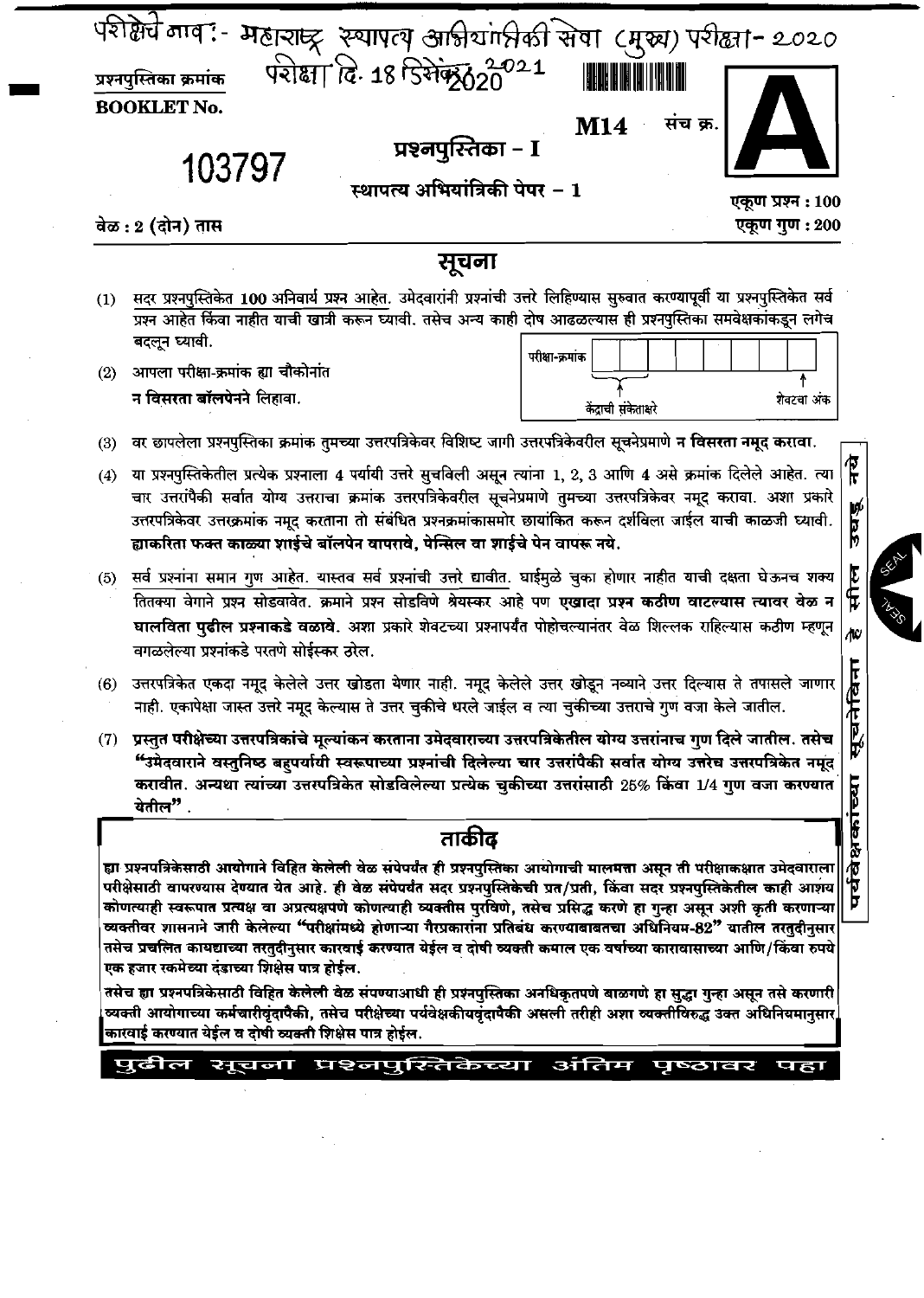|     | संच क्र.<br>M14<br>प्रश्नपुरितेका – I<br>103797<br>स्थापत्य अभियांत्रिकी पेपर – 1<br>एकूण प्रश्न : 100<br>वेळ : 2 (दोन) तास<br>एकूण गुण : 200                                                                                                                                                                                                                                                                                                                                                                                                                                                                                                                                                                    |
|-----|------------------------------------------------------------------------------------------------------------------------------------------------------------------------------------------------------------------------------------------------------------------------------------------------------------------------------------------------------------------------------------------------------------------------------------------------------------------------------------------------------------------------------------------------------------------------------------------------------------------------------------------------------------------------------------------------------------------|
|     | सूचना                                                                                                                                                                                                                                                                                                                                                                                                                                                                                                                                                                                                                                                                                                            |
| (1) | सदर प्रश्नपुस्तिकेत 100 अनिवार्य प्रश्न आहेत. उमेदवारांनी प्रश्नांची उत्तरे लिहिण्यास सुरुवात करण्यापूर्वी या प्रश्नपुस्तिकेत सर्व<br>प्रश्न आहेत किंवा नाहीत याची खात्री करून घ्यावी. तसेच अन्य काही दोष आढळल्यास ही प्रश्नपुस्तिका समवेक्षकांकडून लगेच<br>बदलून घ्यावी.<br>परीक्षा-क्रमांक                                                                                                                                                                                                                                                                                                                                                                                                                     |
| (2) | आपला परीक्षा-क्रमांक ह्या चौकोनांत<br>न विसरता बॉलपेनने लिहावा.<br>शेवटचा अंक<br>केंद्राची संकेताक्षरे                                                                                                                                                                                                                                                                                                                                                                                                                                                                                                                                                                                                           |
| (3) | वर छापलेला प्रश्नपुस्तिका क्रमांक तुमच्या उत्तरपत्रिकेवर विशिष्ट जागी उत्तरपत्रिकेवरील सूचनेप्रमाणे न विसरता नमूद करावा.                                                                                                                                                                                                                                                                                                                                                                                                                                                                                                                                                                                         |
| (4) | या प्रश्नपुस्तिकेतील प्रत्येक प्रश्नाला 4 पर्यायी उत्तरे सुचविली असून त्यांना 1, 2, 3 आणि 4 असे क्रमांक दिलेले आहेत. त्या<br>चार उत्तरांपैकी सर्वात योग्य उत्तराचा क्रमांक उत्तरपत्रिकेवरील सूचनेप्रमाणे तुमच्या उत्तरपत्रिकेवर नमूद करावा. अशा प्रकारे<br>उत्तरपत्रिकेवर उत्तरक्रमांक नमूद करताना तो संबंधित प्रश्नक्रमांकासमोर छायांकित करून दर्शविला जाईल याची काळजी घ्यावी.<br>ह्याकरिता फक्त काळ्या शाईचे बॉलपेन वापरावे, पेन्सिल वा शाईचे पेन वापरू नये.                                                                                                                                                                                                                                                   |
|     | (5) सर्व प्रश्नांना समान गुण आहेत. यास्तव सर्व प्रश्नांची उत्तरे द्यावीत. घाईमुळे चुका होणार नाहीत याची दक्षता घेऊनच शक्य<br>तितक्या वेगाने प्रश्न सोडवावेत. क्रमाने प्रश्न सोडविणे श्रेयस्कर आहे पण एखादा प्रश्न कठीण वाटल्यास त्यावर वेळ न<br>घालविता पुढील प्रश्नाकडे वळावे. अशा प्रकारे शेवटच्या प्रश्नापर्यंत पोहोचल्यानंतर वेळ शिल्लक राहिल्यास कठीण म्हणून<br>वगळलेल्या प्रश्नांकडे परतणे सोईस्कर ठरेल.                                                                                                                                                                                                                                                                                                   |
| (6) | उत्तरपत्रिकेत एकदा नमूद केलेले उत्तर खोडता येणार नाही. नमूद केलेले उत्तर खोडून नव्याने उत्तर दिल्यास ते तपासले जाणार<br>नाही. एकापेक्षा जास्त उत्तरे नमूद केल्यास ते उत्तर चुकीचे धरले जाईल व त्या चुकीच्या उत्तराचे गुण वजा केले जातील.                                                                                                                                                                                                                                                                                                                                                                                                                                                                         |
| (7) | प्रस्तुत परीक्षेच्या उत्तरपत्रिकांचे मूल्यांकन करताना उमेदवाराच्या उत्तरपत्रिकेतील योग्य उत्तरांनाच गुण दिले जातील. तसेच<br>"उमेदवाराने वस्तुनिष्ठ बहुपर्यायी स्वरूपाच्या प्रश्नांची दिलेल्या चार उत्तरांपैकी सर्वात योग्य उत्तरेच उत्तरपत्रिकेत नमूद<br>करावीत. अन्यथा त्यांच्या उत्तरपत्रिकेत सोडविलेल्या प्रत्येक चुकीच्या उत्तरांसाठी 25% किंवा 1/4 गुण वजा करण्यात<br>येतील".                                                                                                                                                                                                                                                                                                                               |
|     | ताकीव<br>ह्या प्रश्नपत्रिकेसाठी आयोगाने विहित केलेली वेळ संपेपर्यंत ही प्रश्नपुस्तिका आयोगाची मालमत्ता असून ती परीक्षाकक्षात उमेदवाराला<br>परीक्षेसाठी वापरण्यास देण्यात येत आहे. ही वेळ संपेपर्यंत सदर प्रश्नपुस्तिकेची प्रत/प्रती, किंवा सदर प्रश्नपुस्तिकेतील काही आशय<br>कोणत्याही स्वरूपात प्रत्यक्ष वा अप्रत्यक्षपणे कोणत्याही व्यक्तीस पुरविणे, तसेच प्रसिद्ध करणे हा गुन्हा असून अशी कृती करणाऱ्या<br>व्यक्तीवर शासनाने जारी केलेल्या "परीक्षांमध्ये होणाऱ्या गैरप्रकारांना प्रतिबंध करण्याबाबतचा अधिनियम-82" यातील तरतदीनसार<br>तसेच प्रचलित कायद्याच्या तरतुदीनुसार कारवाई करण्यात येईल व दोषी व्यक्ती कमाल एक वर्षाच्या कारावासाच्या आणि/किंवा रुपये<br>एक हजार रकमेच्या दंडाच्या शिक्षेस पात्र होईल. |
|     | तसेच ह्या प्रश्नपत्रिकेसाठी विहित केलेली वेळ संपण्याआधी ही प्रश्नपुस्तिका अनधिकृतपणे बाळगणे हा सुद्धा गुन्हा असून तसे करणारी<br>व्यक्ती आयोगाच्या कर्मचारीवृंदापैकी, तसेच परीक्षेच्या पर्यवेक्षकीयवृंदापैकी असली तरीही अशा व्यक्तीविरुद्ध उक्त अधिनियमानुसार<br>कारवाई करण्यात येईल व दोषी व्यक्ती शिक्षेस पात्र होईल.                                                                                                                                                                                                                                                                                                                                                                                           |
|     | पुढील सूचना प्रश्नपुस्तिकेच्या अंतिम<br>पृष्ठावर<br>पहा                                                                                                                                                                                                                                                                                                                                                                                                                                                                                                                                                                                                                                                          |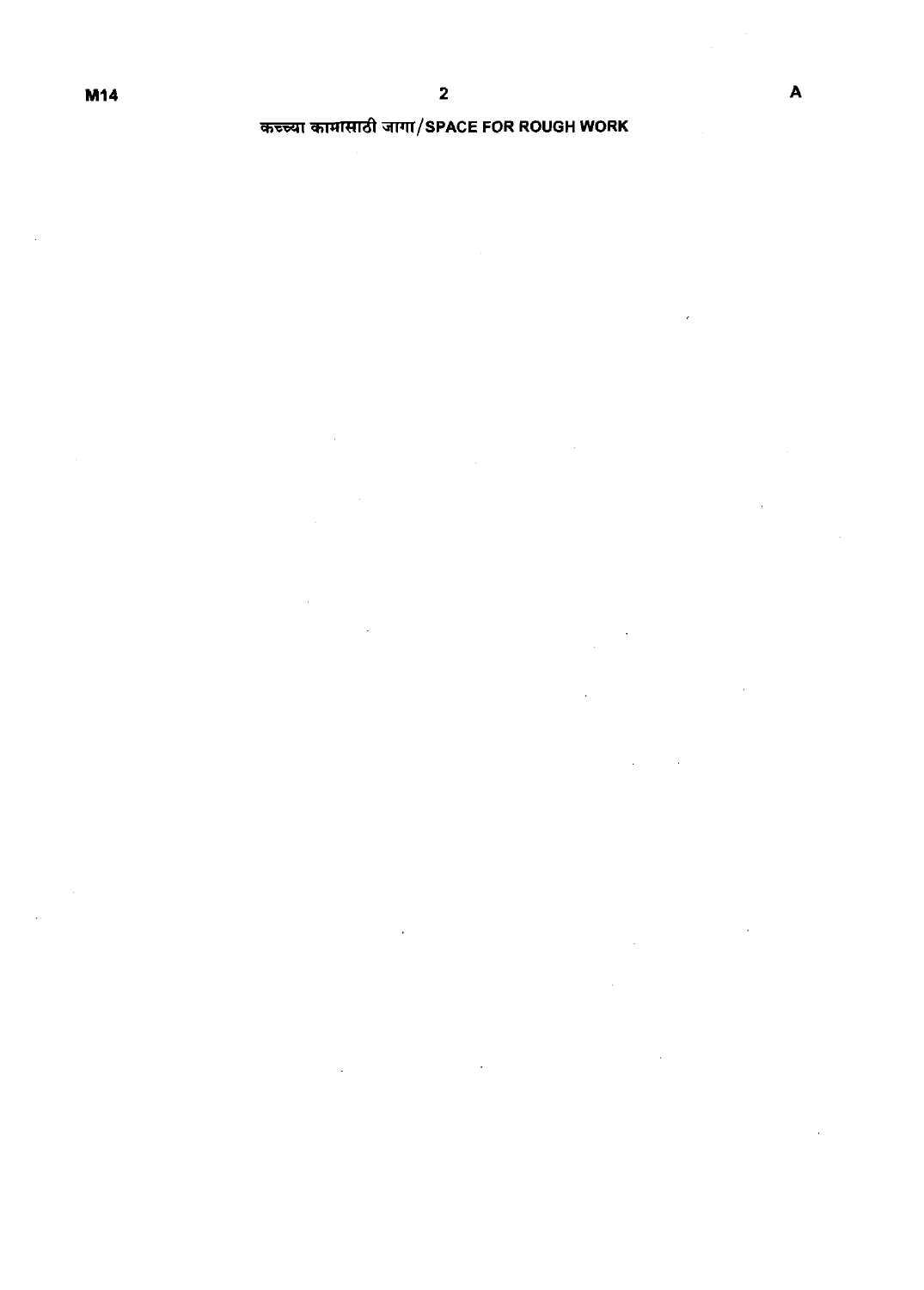## **कच्च्या कामासाठी जागा/SPACE FOR ROUGH WORK**

 $\overline{\phantom{a}}$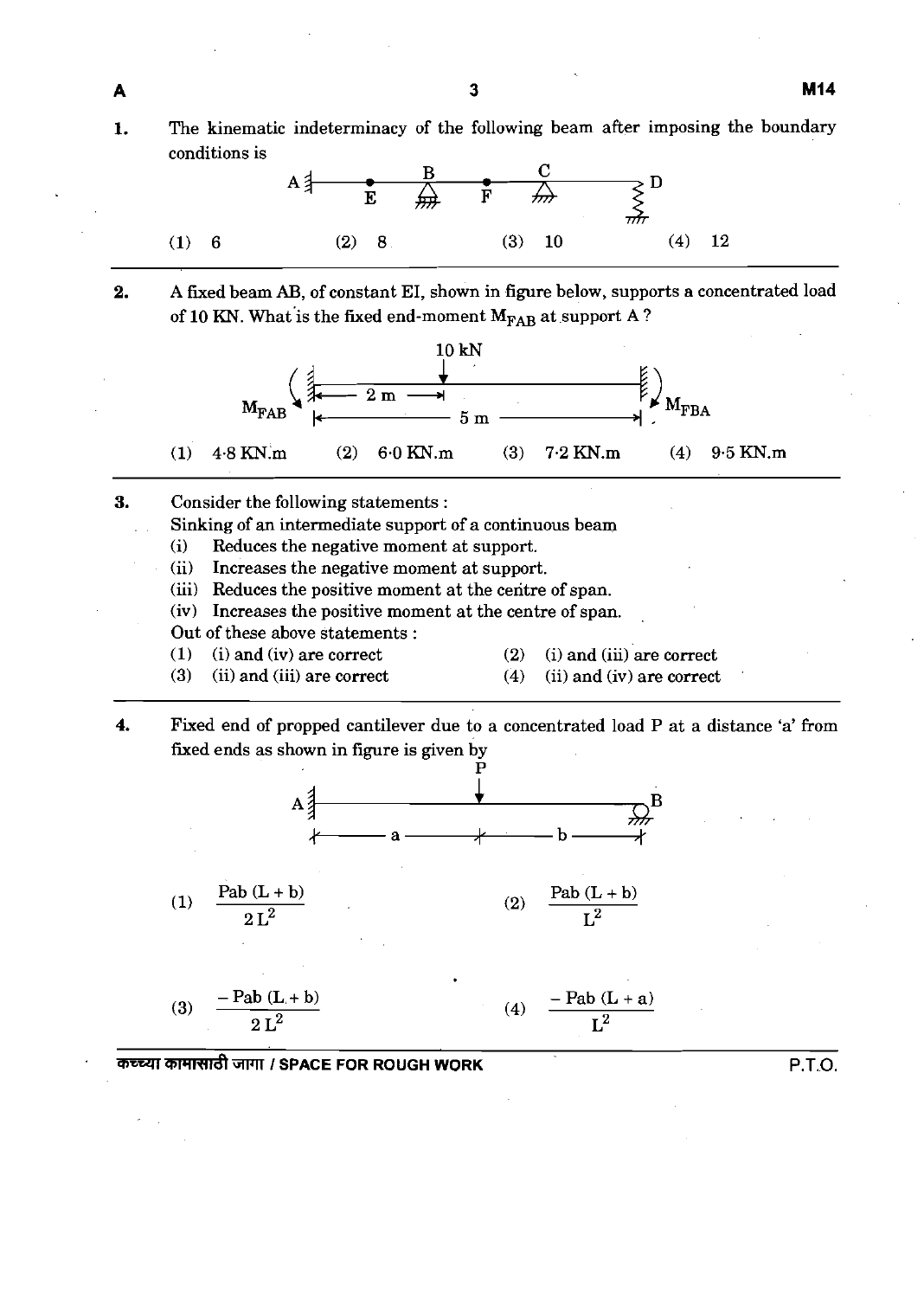**1.** The kinematic indeterminacy of the following beam after imposing the boundary conditions is



**2.** A fxed beam **AB,** of constant EI, shown in figure below, supports a concentrated load of 10 KN. What is the fixed end-moment  $M_{\text{FAB}}$  at support A ?



Sinking of an intermediate support of a continuous beam

- (i) Reduces the negative moment at support.<br>(ii) Increases the negative moment at support
- Increases the negative moment at support.
- (iii) Reduces the positive moment at the ceritre of span.
- (iv) Increases the positive moment at the centre of span.

Out of these above statements :

(1) (i) and (iv) are correct (2) (i) and (iii) are correct

A

- 
- (3) (ii) and (iii) are correct (4) (ii) and (iv) are correct
- 
- **4.** Fixed end of propped cantilever due to a concentrated load P at a distance 'a' from fixed ends as shown in figure is given by



mWPTRd3Pll **I SPACE FOR ROUGH WORK** P.T.O.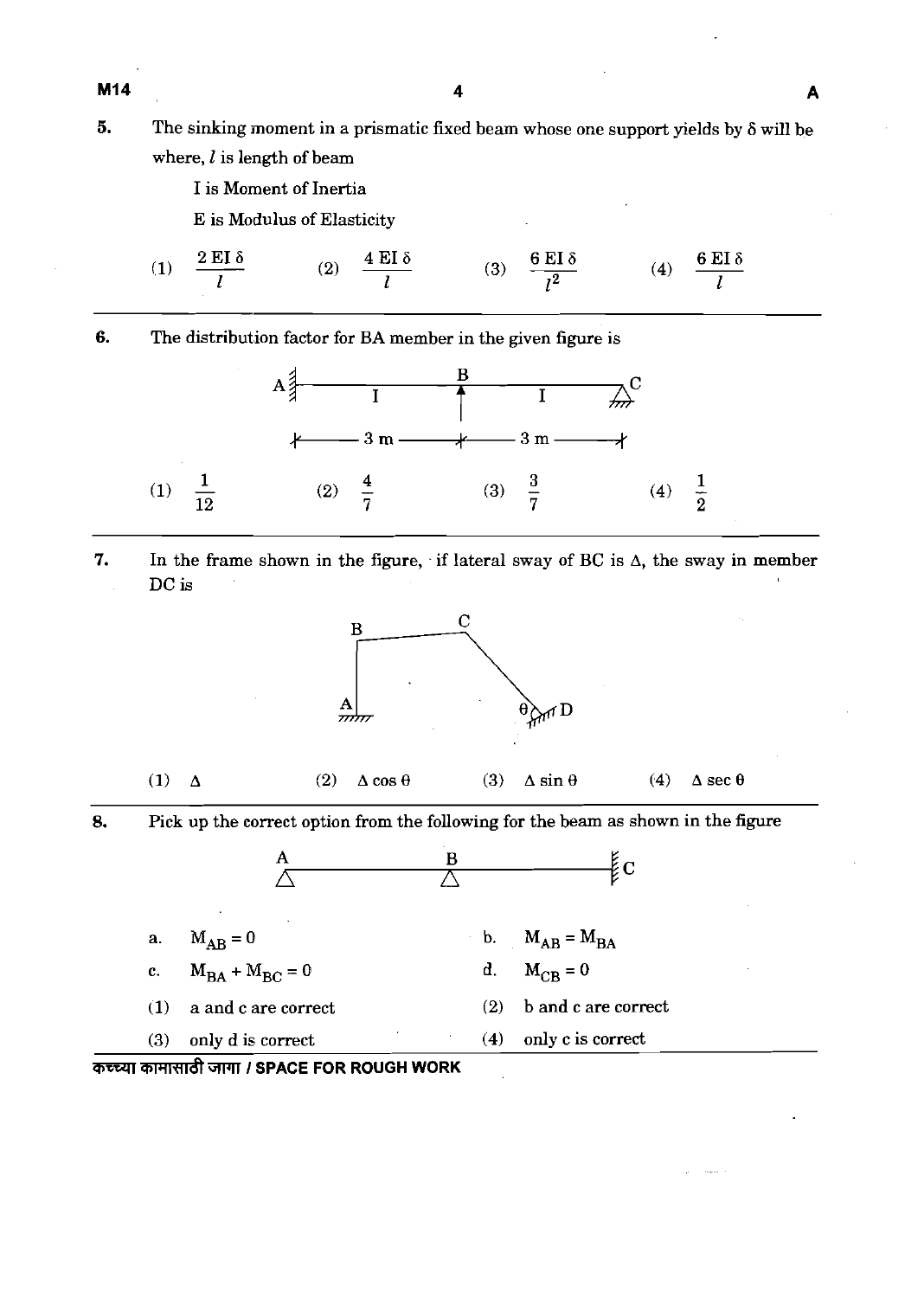M14

- **5.** The sinking moment in a prismatic fxed beam whose one support yields by **S** will be where,  $l$  is length of beam
	- I is Moment of Inertia

E is Modulus of Elasticity

 $\frac{4 \text{ EI } \delta}{l}$ (3)  $\frac{6 \text{ EI } \delta}{l^2}$ (4)  $\frac{6 \text{ EI } \delta}{l}$  $2$  EI  $\delta$  $(2)$  $(1)$  $\mathbf{I}$ 

**6.** The distribution factor for **BA** member in the given figure is



**7.** In the frame shown in the figure, if lateral sway of BC is  $\Delta$ , the sway in member DC is



- (1)  $\Delta$  (2)  $\Delta \cos \theta$  (3)  $\Delta \sin \theta$  (4)  $\Delta \sec \theta$
- **8.** Pick up the correct option from the following for the beam as shown in the figure



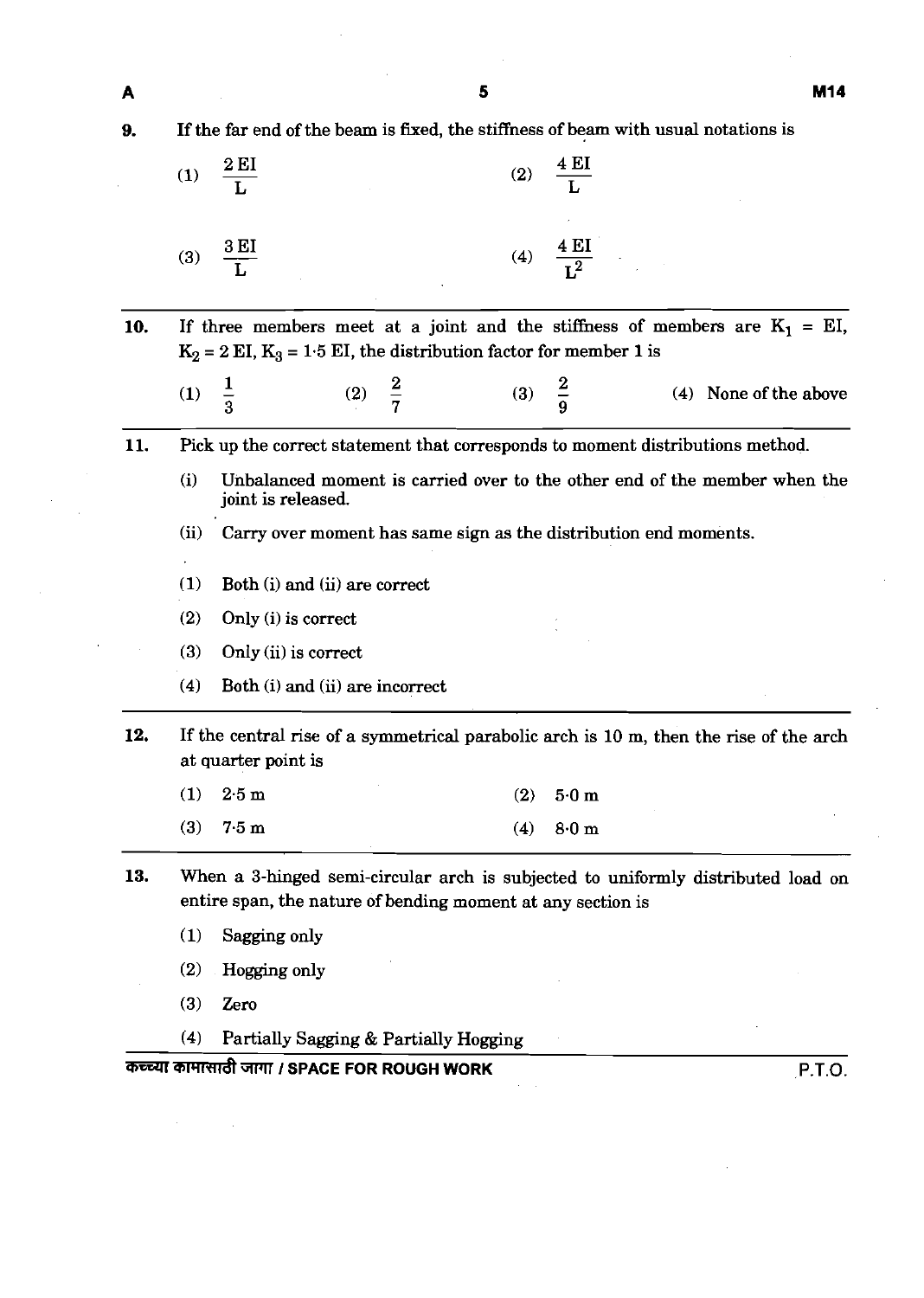**9.** If the far end of the beam is fixed, the stiffness of beam with usual notations is

| (1) | $\underline{\text{2 EI}}$ | (2) | <u>4 EI</u><br>$\overline{\mathbf{L}}$ |
|-----|---------------------------|-----|----------------------------------------|
| (3) | 3 EI                      | (4) | <u>4 EI</u>                            |

10. If three members meet at a joint and the stiffness of members are  $K_1 = EI$ ,  $K_2 = 2$  EI,  $K_3 = 1.5$  EI, the distribution factor for member 1 is

| 、 — , |  |  |  |  |  |  | (4) None of the above |
|-------|--|--|--|--|--|--|-----------------------|
|-------|--|--|--|--|--|--|-----------------------|

**11.** Pick up the correct statement that corresponds to moment distributions method.

(i) Unbalanced moment is carried over to the other end of the member when the joint is released.

(ii) **Cany** over moment has same sign as the distribution end moments.

- (1) Both (i) and (ii) are correct
- (2) Only (i) is correct
- (3) Only (ii) is correct
- (4) Both (i) and (ii) are incorrect
- **12.** If the central rise of a symmetrical parabolic arch is 10 m, then the rise of the arch at quarter point is
	- (1)  $2.5 \text{ m}$  (2)  $5.0 \text{ m}$ (3)  $7.5 \text{ m}$  (4)  $8.0 \text{ m}$
- **13.** When a 3-hinged semi-circular arch is subjected to uniformly distributed load on entire span, the nature of bending moment at any section is
	- (1) Sagging only
	- **(2)** Hogging only
	- (3) Zero
	- **(4)** Partially Sagging & Partially Hogging

#### me **I SPACE FOR ROUGH WORK P.T.O.**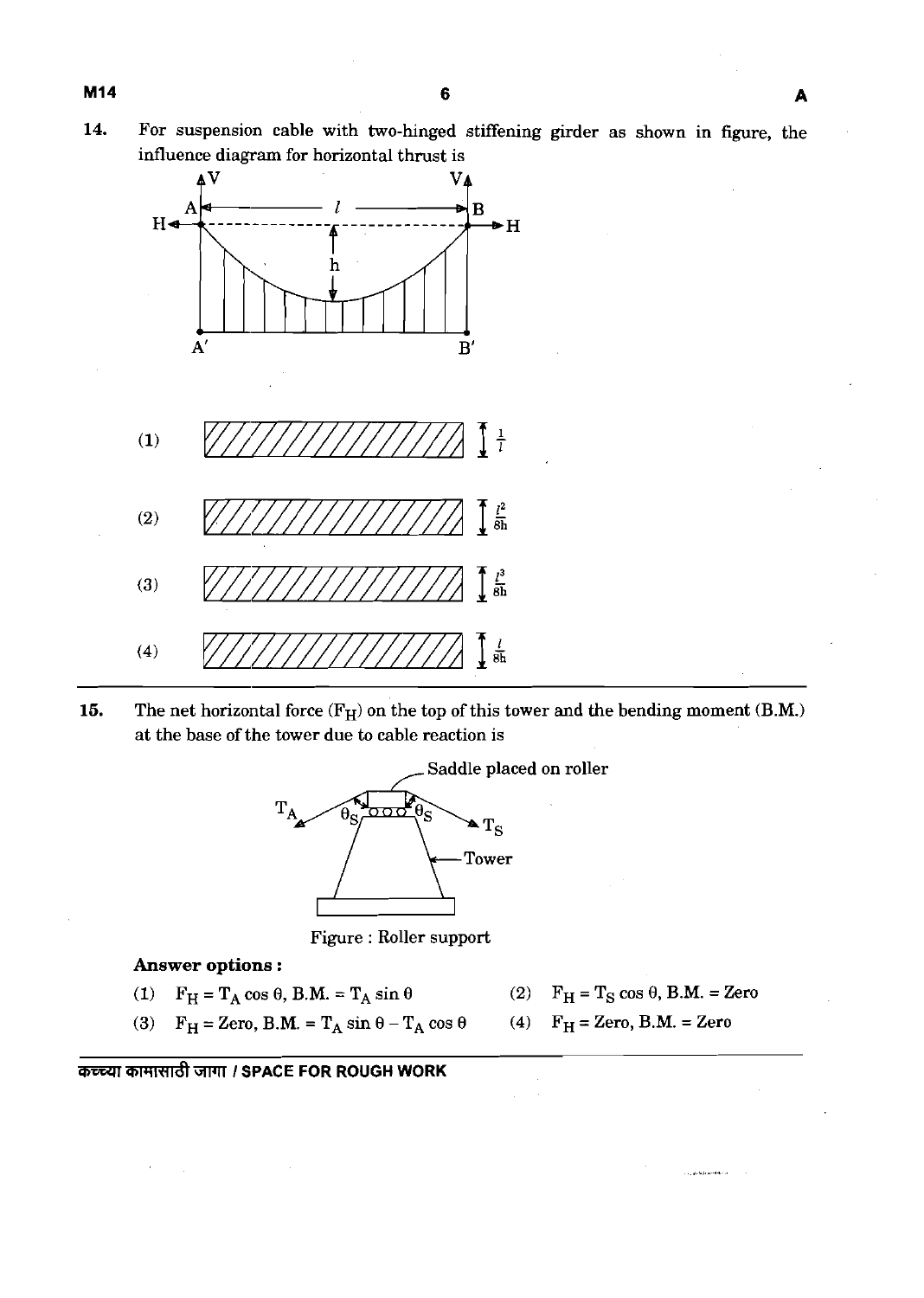**14.** For suspension cable with two-hinged stiffening girder as shown in figure, the influence diagram for horizontal thrust is



**15.** The net horizontal force  $(F_H)$  on the top of this tower and the bending moment  $(B.M.)$ at the base of the tower due to cable reaction is



Figure : Roller support

**Answer options** :

- (1)  $F_H = T_A \cos \theta$ , B.M. =  $T_A \sin \theta$  (2)  $F_H = T_S \cos \theta$ , B.M. = Zero
	-
- (3)  $F_H = Zero$ , B.M. =  $T_A \sin \theta T_A \cos \theta$  (4)  $F_H = Zero$ , B.M. = Zero

**a** कच्च्या कामासाठी जागा / SPACE FOR ROUGH WORK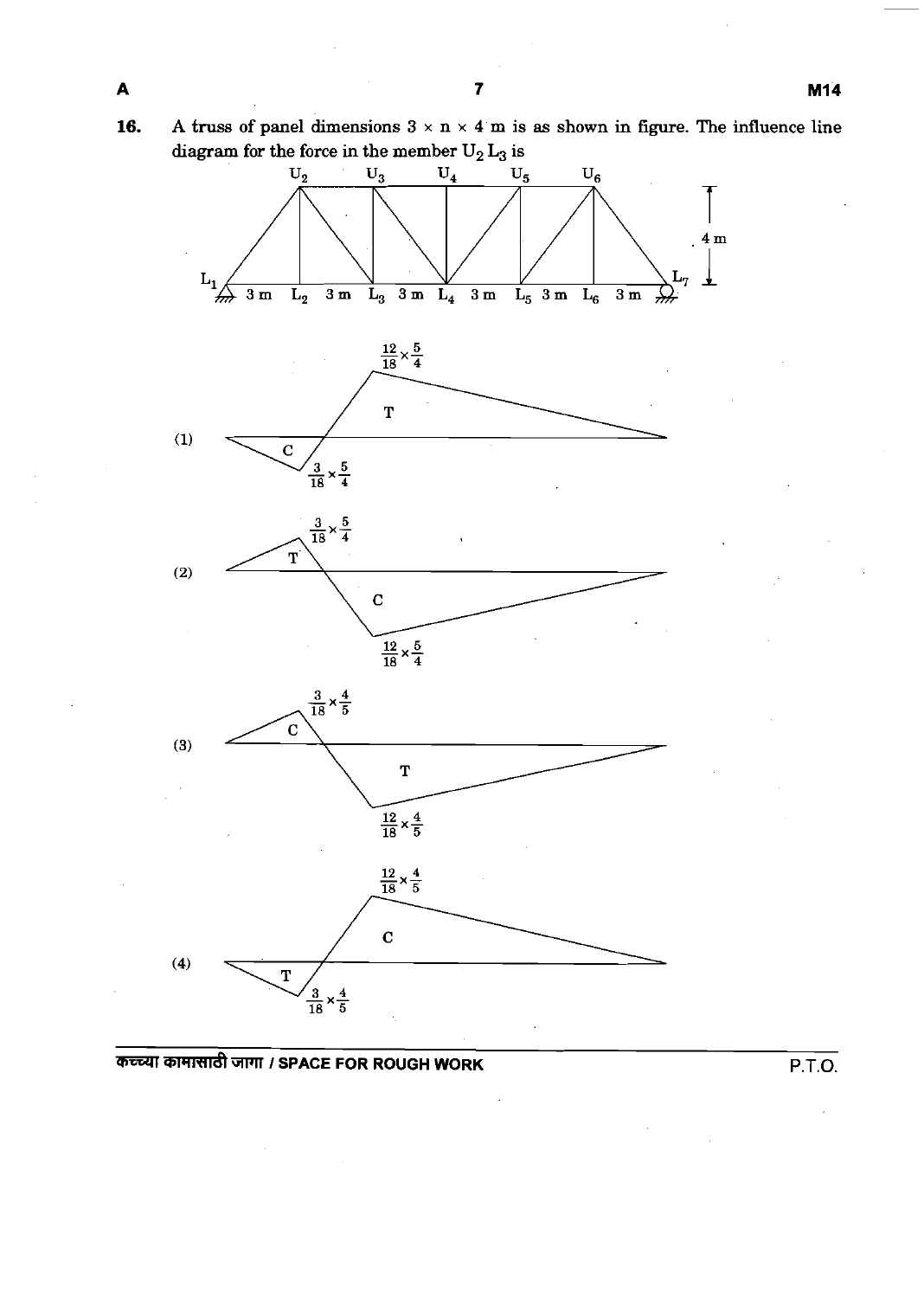**16. A** truss of panel dimensions  $3 \times n \times 4$  m is as shown in figure. The influence line  $\mathbf{d}$  iagram for the force in the member  $\mathbf{U}_2\,\mathbf{L}_3$  is



# ~GlTJTI **I SPACE FOR ROUGH WORK P.T.O.**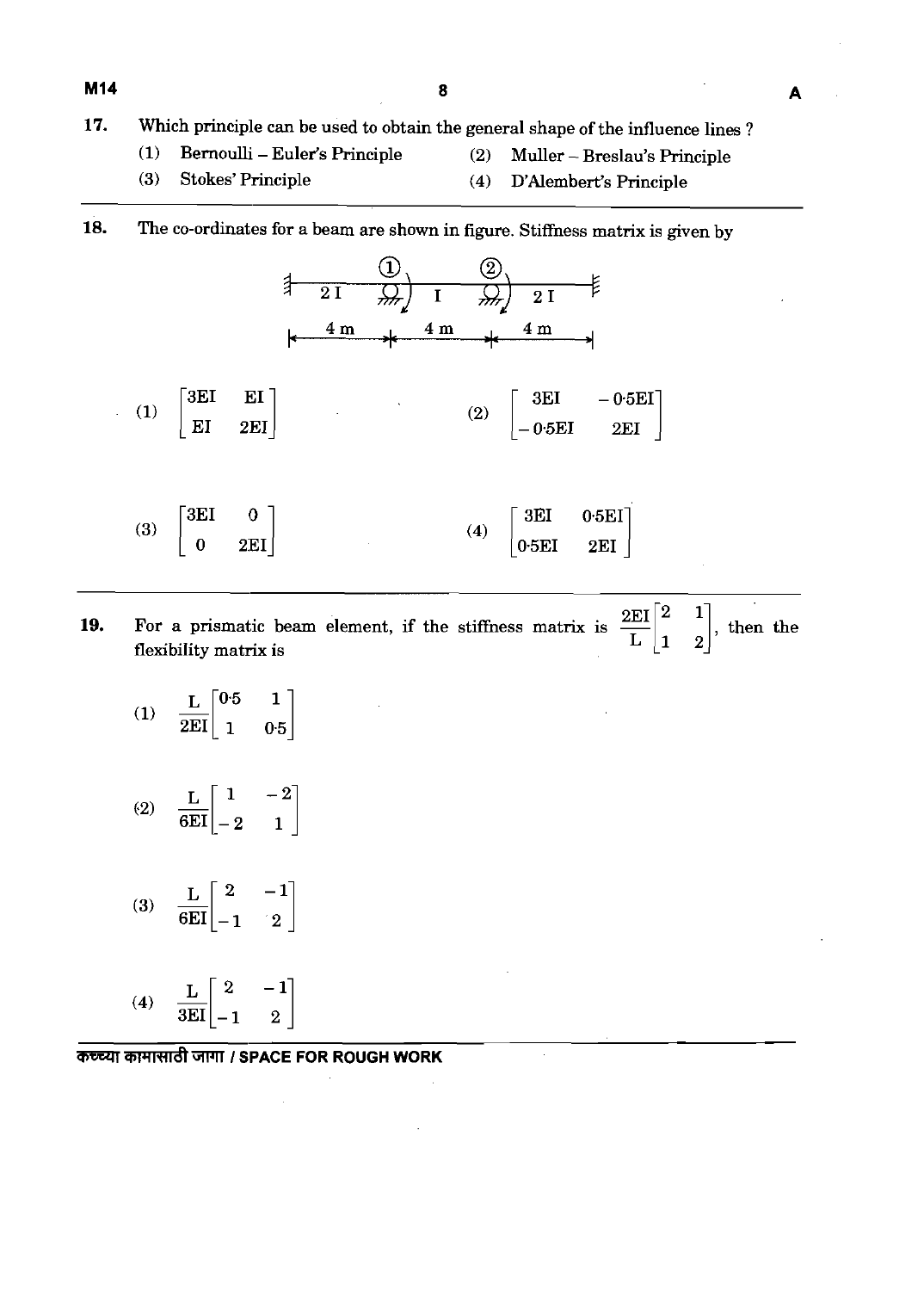#### **17.** Which principle can be used to obtain the general shape of the influence lines ?

- **(1)** Bernoulli Euler's Principle **(2)** Muller Breslau's Principle
- **(3)** Stokes' Principle **(4)** D'Alembert's Principle
- **18.** The co-ordinates for a beam are shown in figure. Stiffness matrix is given by



- 19. For a prismatic beam element, if the stiffness matrix is  $\frac{2EI}{L} \begin{bmatrix} 2 & 1 \ 1 & 2 \end{bmatrix}$ , then the flexibility matrix is
	- $-\frac{\text{L}}{2 \text{EI}}\begin{bmatrix} 0 \cdot 5 & 1 \ 1 & 0 \cdot 5 \end{bmatrix}$  $(1)$
	- $\frac{\text{L}}{6\text{EI}}\begin{bmatrix} 1 & -2 \ -2 & 1 \end{bmatrix}$  $(2)$
	- (3)  $\frac{L}{6EI} \begin{bmatrix} 2 & -1 \\ -1 & 2 \end{bmatrix}$
	- (4)  $\frac{L}{3EI} \begin{bmatrix} 2 & -1 \\ -1 & 2 \end{bmatrix}$

**कच्च्या कामासाठी जागा / SPACE FOR ROUGH WORK**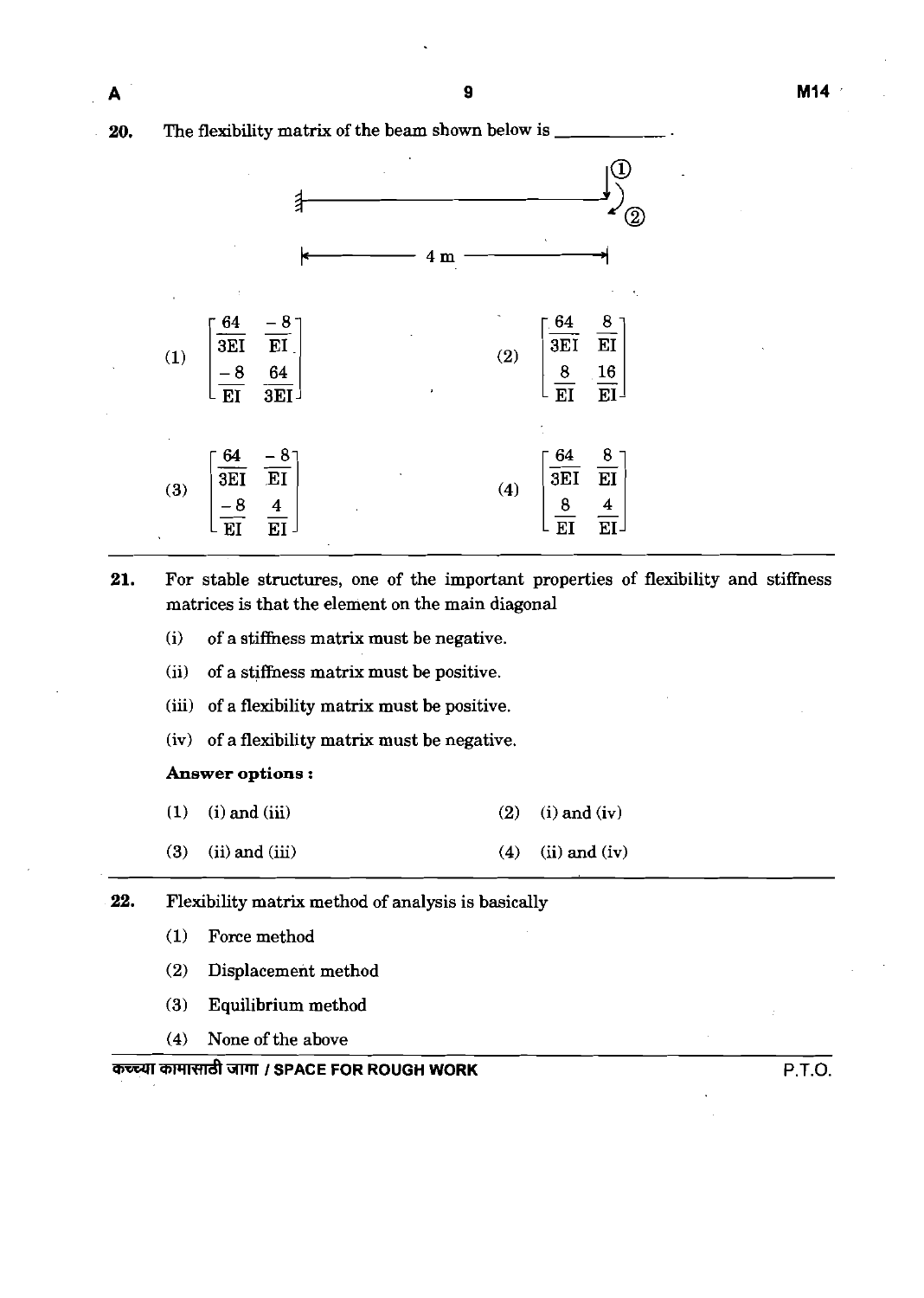**20.** The flexibility matrix of the beam shown below is



- **21.** For stable structures, one of the important properties of flexibility and stiffness matrices is that the element on the main diagonal
	- (i) of a stiffhess matrix must be negative.
	- (ii) of a stiffness matrix must be positive.
	- (iii) of a flexibility matrix must be positive.
	- (iv) of a flexibility matrix must be negative.

#### **Answer** options :

- **(1)** (i) and (iii) (2) (i) and (iv)
- (3) (ii) and (iii) (4) (ii) and (iv)
- **22.** Flexibility matrix method of analysis is basically
	- $(1)$  Force method
	- (2) Displacement method
	- (3) Equilibrium method
	- (4) None of the above

### -W4lW&GIFll **I SPACE FOR ROUGH WORK** P.T.O.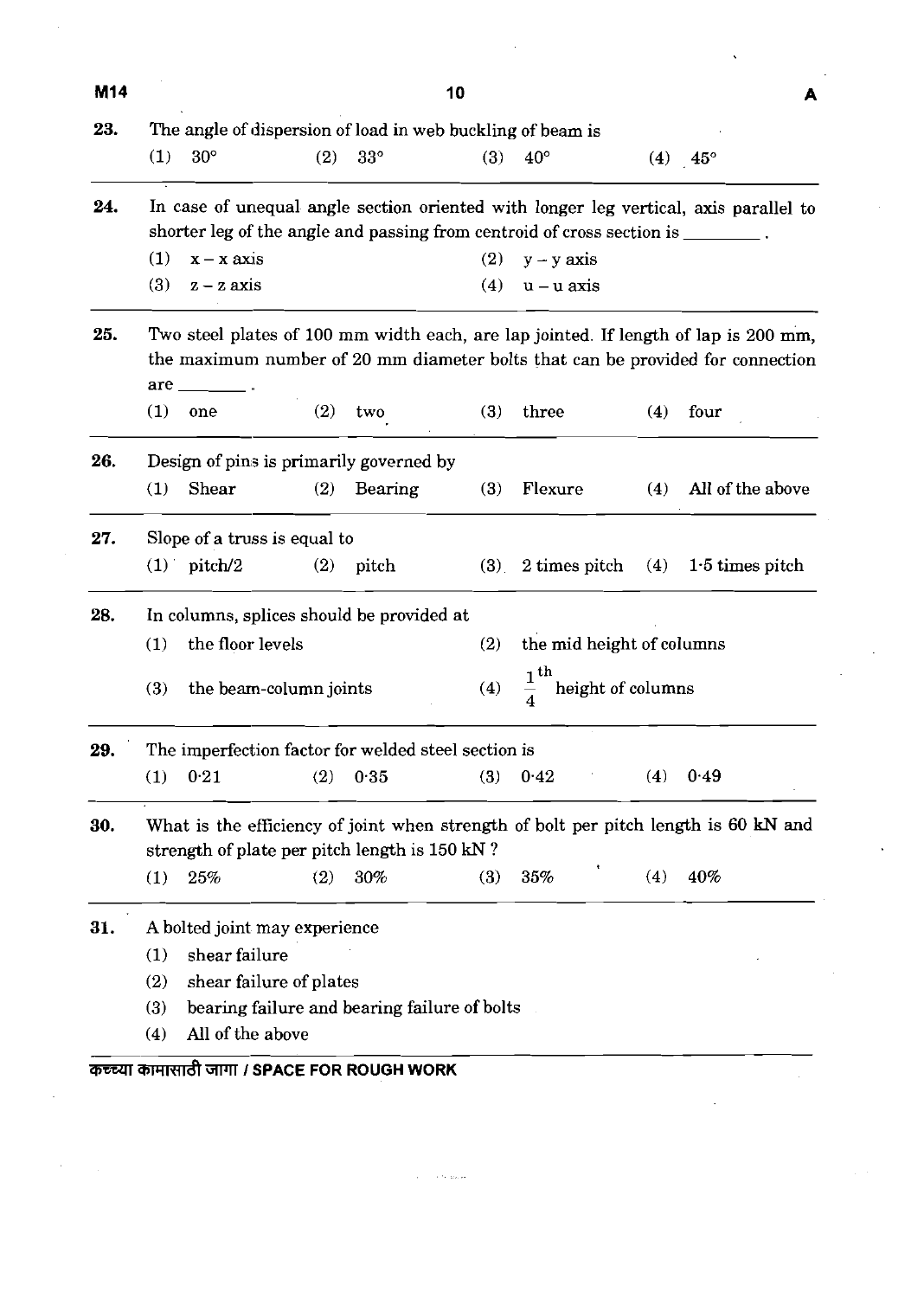| M14 |                              |                               |     |                                                                                  | 10  |                           |  |                   |                                                                                      | A |
|-----|------------------------------|-------------------------------|-----|----------------------------------------------------------------------------------|-----|---------------------------|--|-------------------|--------------------------------------------------------------------------------------|---|
| 23. |                              |                               |     | The angle of dispersion of load in web buckling of beam is                       |     |                           |  |                   |                                                                                      |   |
|     | (1)                          | $30^\circ$                    | (2) | $33^{\circ}$                                                                     | (3) | $40^{\circ}$              |  |                   | $(4)$ 45°                                                                            |   |
| 24. |                              |                               |     |                                                                                  |     |                           |  |                   | In case of unequal angle section oriented with longer leg vertical, axis parallel to |   |
|     |                              |                               |     | shorter leg of the angle and passing from centroid of cross section is ________. |     |                           |  |                   |                                                                                      |   |
|     | (1)                          | $x - x \naxis$                |     |                                                                                  | (2) | $y - y \nexists$          |  |                   |                                                                                      |   |
|     | (3)                          | $z - z$ axis                  |     |                                                                                  | (4) | $u - u$ axis              |  |                   |                                                                                      |   |
| 25. |                              |                               |     |                                                                                  |     |                           |  |                   | Two steel plates of 100 mm width each, are lap jointed. If length of lap is 200 mm,  |   |
|     |                              |                               |     |                                                                                  |     |                           |  |                   | the maximum number of 20 mm diameter bolts that can be provided for connection       |   |
|     |                              | $are$ $\qquad$                |     |                                                                                  |     |                           |  |                   |                                                                                      |   |
|     | (1)                          | one                           | (2) | two                                                                              | (3) | three                     |  | (4)               | four                                                                                 |   |
| 26. |                              |                               |     | Design of pins is primarily governed by                                          |     |                           |  |                   |                                                                                      |   |
|     | (1)                          | Shear                         | (2) | Bearing                                                                          | (3) | Flexure                   |  | (4)               | All of the above                                                                     |   |
| 27. | Slope of a truss is equal to |                               |     |                                                                                  |     |                           |  |                   |                                                                                      |   |
|     |                              | $(1)$ pitch/2                 | (2) | pitch                                                                            | (3) |                           |  |                   | 2 times pitch $(4)$ 1.5 times pitch                                                  |   |
| 28. |                              |                               |     | In columns, splices should be provided at                                        |     |                           |  |                   |                                                                                      |   |
|     | (1)                          | the floor levels              |     |                                                                                  | (2) | the mid height of columns |  |                   |                                                                                      |   |
|     | (3)                          | the beam-column joints        |     |                                                                                  | (4) | $\frac{1}{4}^{\text{th}}$ |  | height of columns |                                                                                      |   |
|     |                              |                               |     |                                                                                  |     |                           |  |                   |                                                                                      |   |
| 29. |                              |                               |     | The imperfection factor for welded steel section is                              |     |                           |  |                   |                                                                                      |   |
|     | (1)                          | 0.21                          | (2) | 0.35                                                                             | (3) | 0.42                      |  | (4)               | 0.49                                                                                 |   |
| 30. |                              |                               |     |                                                                                  |     |                           |  |                   | What is the efficiency of joint when strength of bolt per pitch length is 60 kN and  |   |
|     |                              |                               |     | strength of plate per pitch length is 150 kN?                                    |     |                           |  |                   |                                                                                      |   |
|     | (1)                          | $25\%$                        | (2) | 30%                                                                              | (3) | 35%                       |  | (4)               | 40%                                                                                  |   |
| 31. |                              | A bolted joint may experience |     |                                                                                  |     |                           |  |                   |                                                                                      |   |
|     | (1)                          | shear failure                 |     |                                                                                  |     |                           |  |                   |                                                                                      |   |
|     | (2)                          | shear failure of plates       |     |                                                                                  |     |                           |  |                   |                                                                                      |   |
|     | (3)                          |                               |     | bearing failure and bearing failure of bolts                                     |     |                           |  |                   |                                                                                      |   |
|     | (4)                          | All of the above              |     |                                                                                  |     |                           |  |                   |                                                                                      |   |

 $\label{eq:2.1} \frac{1}{\sqrt{2\pi}}\sum_{i=1}^n\frac{1}{\sqrt{2\pi}}\sum_{i=1}^n\frac{1}{\sqrt{2\pi}}\sum_{i=1}^n\frac{1}{\sqrt{2\pi}}\sum_{i=1}^n\frac{1}{\sqrt{2\pi}}\sum_{i=1}^n\frac{1}{\sqrt{2\pi}}\sum_{i=1}^n\frac{1}{\sqrt{2\pi}}\sum_{i=1}^n\frac{1}{\sqrt{2\pi}}\sum_{i=1}^n\frac{1}{\sqrt{2\pi}}\sum_{i=1}^n\frac{1}{\sqrt{2\pi}}\sum_{i=1}^n\$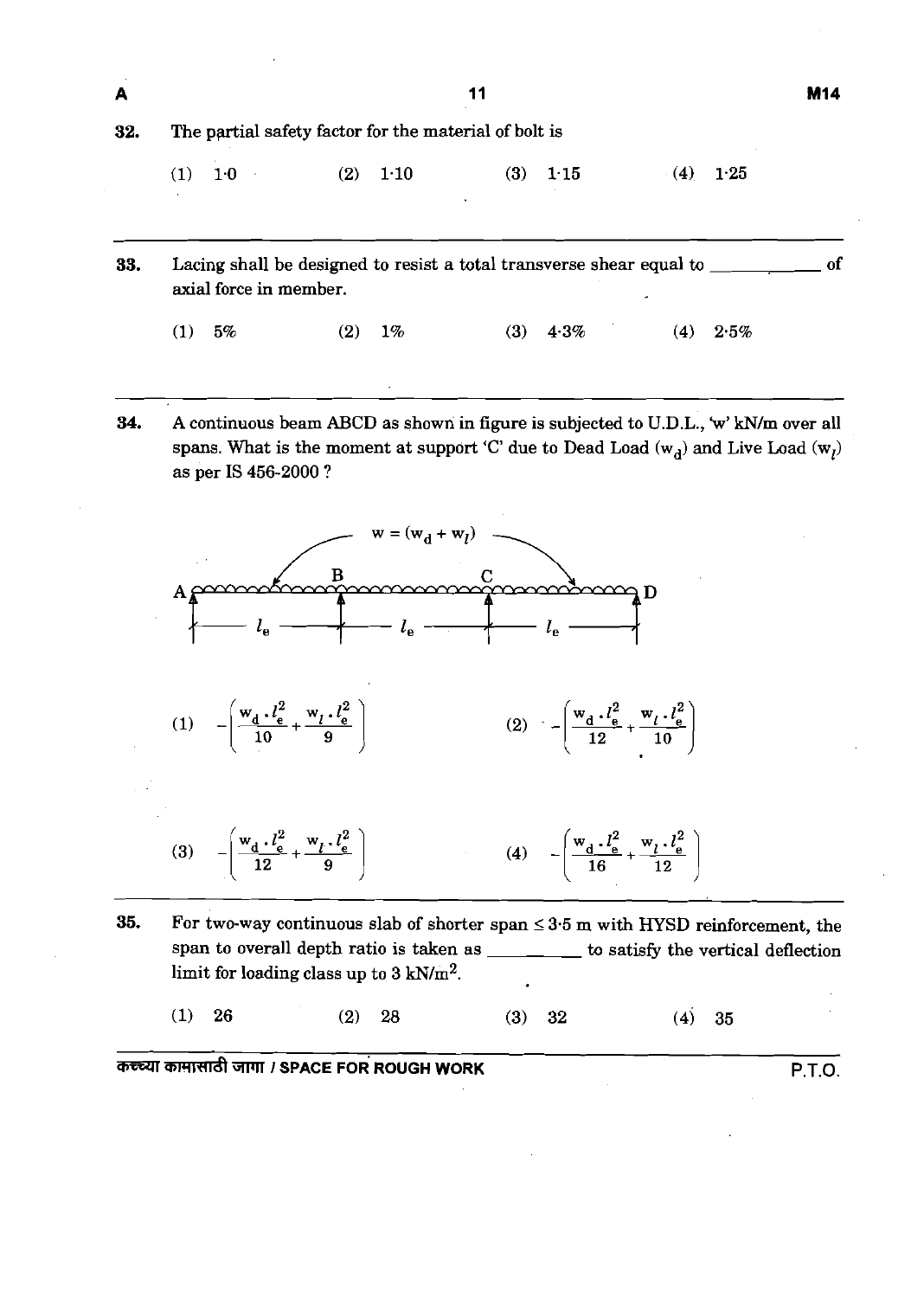| Α   |                                                       |             | 11                                                                       |             | <b>M14</b> |  |  |  |  |
|-----|-------------------------------------------------------|-------------|--------------------------------------------------------------------------|-------------|------------|--|--|--|--|
| 32. | The partial safety factor for the material of bolt is |             |                                                                          |             |            |  |  |  |  |
|     | 1 <sub>0</sub><br>(1)                                 | 1:10<br>(2) | (3)<br>1.15                                                              | (4)<br>1.25 |            |  |  |  |  |
| 33. | axial force in member.                                |             | Lacing shall be designed to resist a total transverse shear equal to ___ |             | ് വ        |  |  |  |  |
|     | (1)<br>5%                                             | 1%<br>(2)   | $4.3\%$<br>(3)                                                           | (4)<br>2.5% |            |  |  |  |  |

**34.** A continuous beam ABCD as shown in figure is subjected to U.D.L., 'w' kN/m over all spans. What is the moment at support 'C' due to Dead Load  $(w_d)$  and Live Load  $(w_l)$ as per IS 456-2000 ?







- **35.** For two-way continuous slab of shorter span **5** 3.5 m with HYSD reinforcement, the span to overall depth ratio is taken as \_\_\_\_\_\_ to satisfy the vertical deflection limit for loading class up to 3 kN/m<sup>2</sup>.
	- 26  $(1)$  $(2)$ 28  $(4)$  $(3)$ 32 35

**mmnrrdt** WT **I SPACE FOR ROUGH WORK P.T.O.**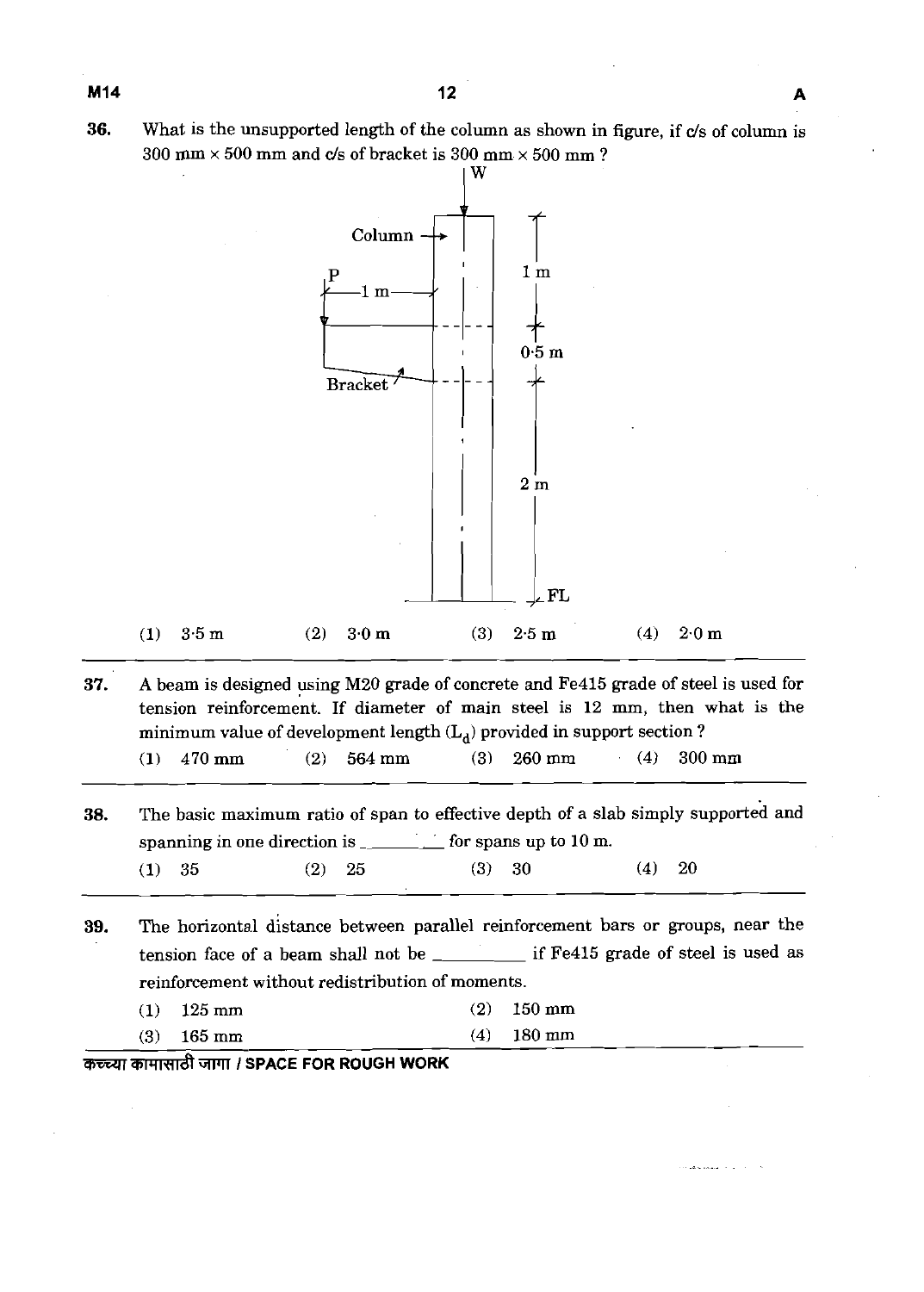**36.** What is the unsupported length of the column as shown in figure, if c/s of column is  $300$  mm  $\times$  500 mm and c/s of bracket is 300 mm  $\times$  500 mm ?



**37. A** beam is designed using M20 grade of concrete and Fe415 grade of steel is used for tension reinforcement. If diameter of main steel is 12 mm, then what is the minimum value of development length  $(L_d)$  provided in support section ?

|  | $(1)$ 470 mm |  | $(2)$ 564 mm | $(3)$ 260 mm |  | $(4)$ 300 mm |
|--|--------------|--|--------------|--------------|--|--------------|
|--|--------------|--|--------------|--------------|--|--------------|

**38.** The basic maximum ratio of span to effective depth of a slab simply supported and spanning in one direction is  $\frac{1}{\sqrt{2\pi}}$  for spans up to 10 m.

(1) 35 (2) 25 (3) 30 **(4)** 20

**39.** The horizontal distance between parallel reinforcement bars or groups, near the tension face of a beam shall not be  $\frac{1}{\sqrt{1-\frac{1}{\sqrt{1-\frac{1}{\sqrt{1-\frac{1}{\sqrt{1-\frac{1}{\sqrt{1-\frac{1}{\sqrt{1-\frac{1}{\sqrt{1-\frac{1}{\sqrt{1-\frac{1}{\sqrt{1-\frac{1}{\sqrt{1-\frac{1}{\sqrt{1-\frac{1}{\sqrt{1-\frac{1}{\sqrt{1-\frac{1}{\sqrt{1-\frac{1}{\sqrt{1-\frac{1}{\sqrt{1-\frac{1}{\sqrt{1-\frac{1}{\sqrt{1-\frac{1}{\sqrt{1-\frac{1}{\sqrt{1-\frac{1$ reinforcement without redistribution of moments.

.<br>De la financia de la caractería

| $(1)$ 125 mm | $(2)$ 150 mm |
|--------------|--------------|
| $(3)$ 165 mm | $(4)$ 180 mm |

**কচ্চ্या कामासाठी जागा / SPACE FOR ROUGH WORK**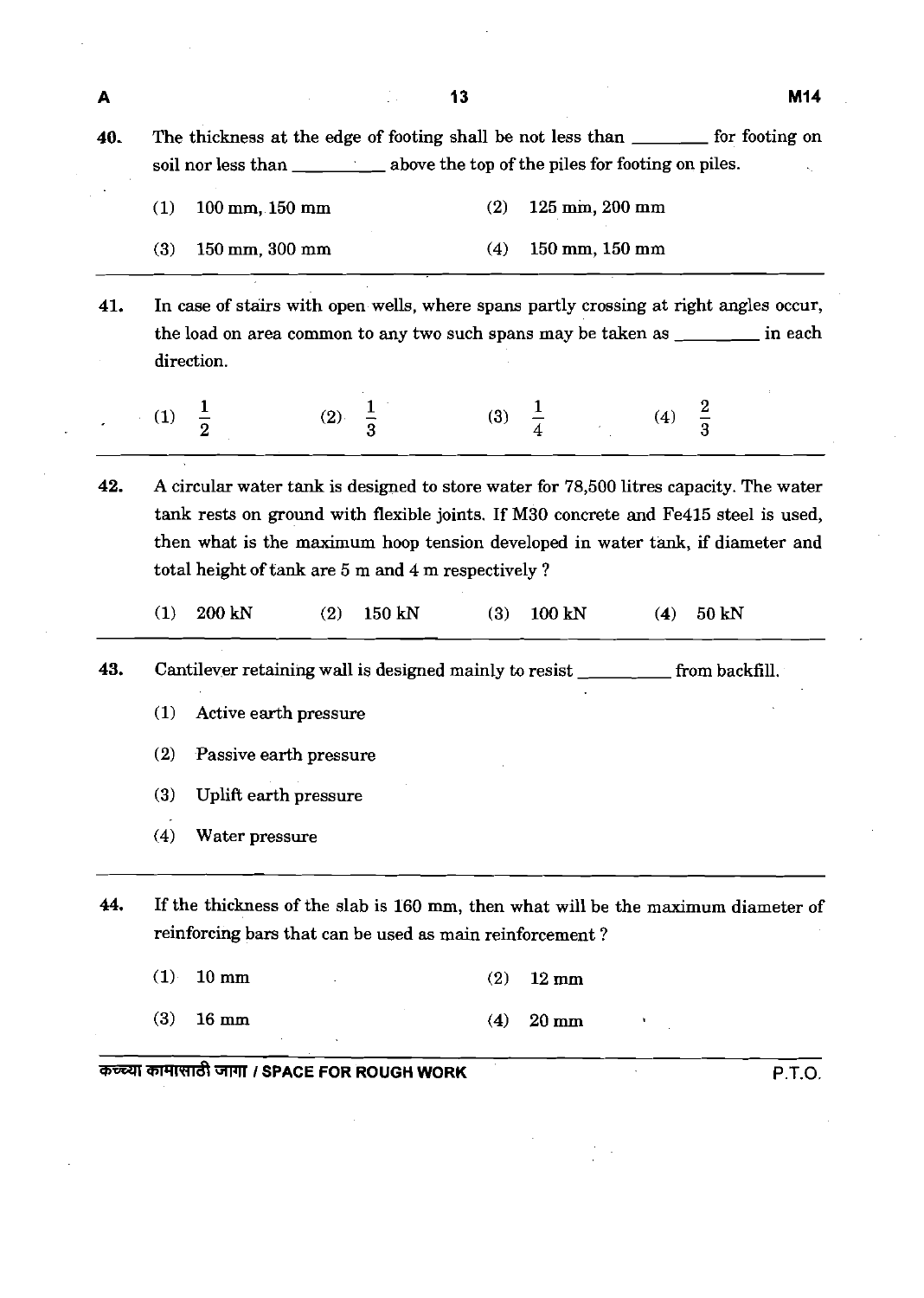40. The thickness at the edge of footing shall be not less than <u>for footing</u> on soil nor less than \_\_\_\_\_\_\_\_\_\_\_\_\_ above the top of the piles for footing on piles. (1) 100 mm, 150 mm (2) 125 **mm,** 200 mm (3) 150 mm, 300 mm (4) 150 mm, 150 mm 41. In case of stairs with open wells, where spans partly crossing at right angles occur, the load on area common to any two such spans may be taken as  $\frac{1}{\sqrt{1-\frac{1}{\sqrt{1-\frac{1}{\sqrt{1-\frac{1}{\sqrt{1-\frac{1}{\sqrt{1-\frac{1}{\sqrt{1-\frac{1}{\sqrt{1-\frac{1}{\sqrt{1-\frac{1}{\sqrt{1-\frac{1}{\sqrt{1-\frac{1}{\sqrt{1-\frac{1}{\sqrt{1-\frac{1}{\sqrt{1-\frac{1}{\sqrt{1-\frac{1}{\sqrt{1-\frac{1}{\sqrt{1-\frac{1}{\sqrt{1-\frac{1}{$ direction.  $\frac{1}{4}$  $\mathbf{1}$  $\frac{2}{3}$  $(3)$  $(2)$  $(4)$ 42. A circular water tank is designed to store water for 78,500 litres capacity. The water

tank rests on ground with flexible joints. If M30 concrete and Fe415 steel is used, then what is the maximum hoop tension developed in water tank, if diameter and total height of tank are 5 m and 4 m respectively ?

200 kN  $(1)$  $(2)$ 150 kN  $(3)$ 100 kN  $(4)$ 50 kN

43. Cantilever retaining wall is designed mainly to resist \_\_\_\_\_\_\_ from backfill.

- (1) Active earth pressure
- (2) Passive earth pressure
- (3) Uplift earth pressure
- (4) Water pressure

44. If the thickness of the slab is 160 mm, then what will be the maximum diameter of reinforcing bars that can be used as main reinforcement ?

 $(1)$  $10 \text{ mm}$  $(2)$  $12 \text{ mm}$ 

 $(3)$  $16 \text{ mm}$  $(4)$  $20 \text{ mm}$ 

**WFiRdl I SPACE FOR ROUGH WORK P.T.O.** 

A

 $(1)$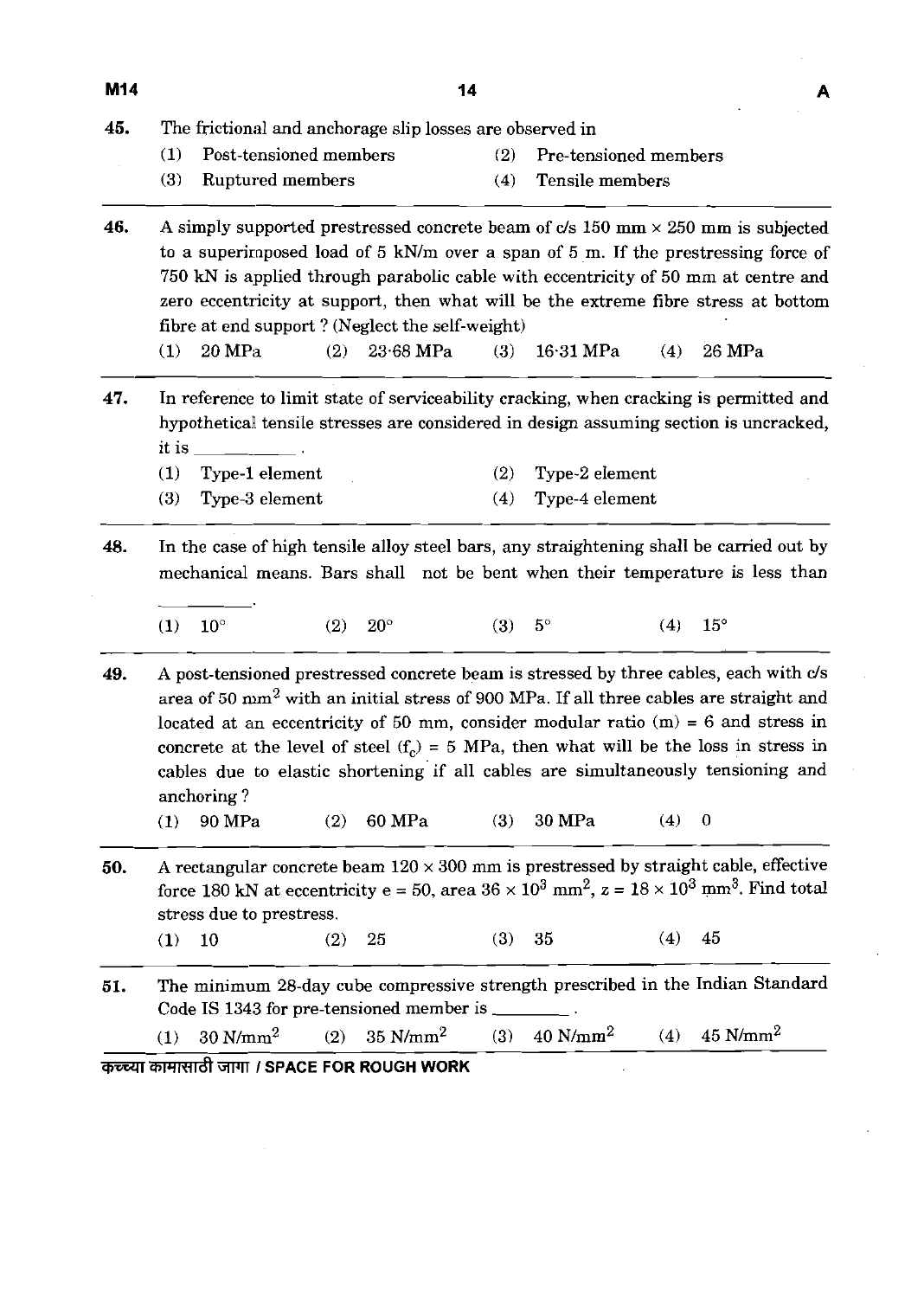| _ |
|---|

(1) Post-tensioned members (2) Pre-tensioned members

- 
- 
- (3) Ruptured members (4) Tensile members

**46.** A simply supported prestressed concrete beam of  $c/s$  150 mm  $\times$  250 mm is subjected to a superirnposed load of 5 Wm over a span of 5 m. If the prestressing force of 750 **kN** is applied through parabolic cable with eccentricity of 50 mm at centre and zero eccentricity at support, then what will be the extreme fibre stress at bottom fibre at end support ? (Neglect the self-weight)

(1) 20MPa (2) 23.68 MPa (3) 16.31 MPa (4) 26 MPa

**47.** In reference to limit state of serviceability cracking, when cracking is permitted and hypothetical tensile stresses are considered in design assuming section is uncracked, it is  $\qquad \qquad \qquad$ 

| $(1)$ Type-1 element | $(2)$ Type-2 element |
|----------------------|----------------------|
| $(3)$ Type-3 element | $(4)$ Type-4 element |

- **48.** In the case of high tensile alloy steel bars, any straightening shall be carried out by mechanical means. Bars shall not be bent when their temperature is less than  $\begin{array}{c|c}\n & r \\
\hline\n\end{array}$ 
	- (1)  $10^{\circ}$  (2)  $20^{\circ}$  (3)  $5^{\circ}$  (4)  $15^{\circ}$

**49.** A post-tensioned prestressed concrete beam is stressed by three cables, each with c/s area of 50 **mrn2** with an initial stress of 900 MPa. If all three cables are straight and located at an eccentricity of 50 mm, consider modular ratio  $(m) = 6$  and stress in concrete at the level of steel  $(f<sub>c</sub>) = 5$  MPa, then what will be the loss in stress in cables due to elastic shortening if all cables are simultaneously tensioning and anchoring ?

- (1) 90 MPa (2) 60 MPa (3) 30 MPa (4) 0
- **50.** A rectangular concrete beam  $120 \times 300$  mm is prestressed by straight cable, effective force 180 kN at eccentricity e = 50, area  $36 \times 10^3$  mm<sup>2</sup>, z =  $18 \times 10^3$  mm<sup>3</sup>. Find total stress due to prestress.

(1) 10 (2) 25 (3) 35 (4) 45

**51.** The minimum 28-day cube compressive strength prescribed in the Indian Standard Code IS 1343 for pre-tensioned member is

(1) 30N/mm2 (2) 35 N/mm2 **(3)** 40 N/mm2 (4) 45 N/mm2

**mmnrrzft** 3WI **I SPACE FOR ROUGH WORK**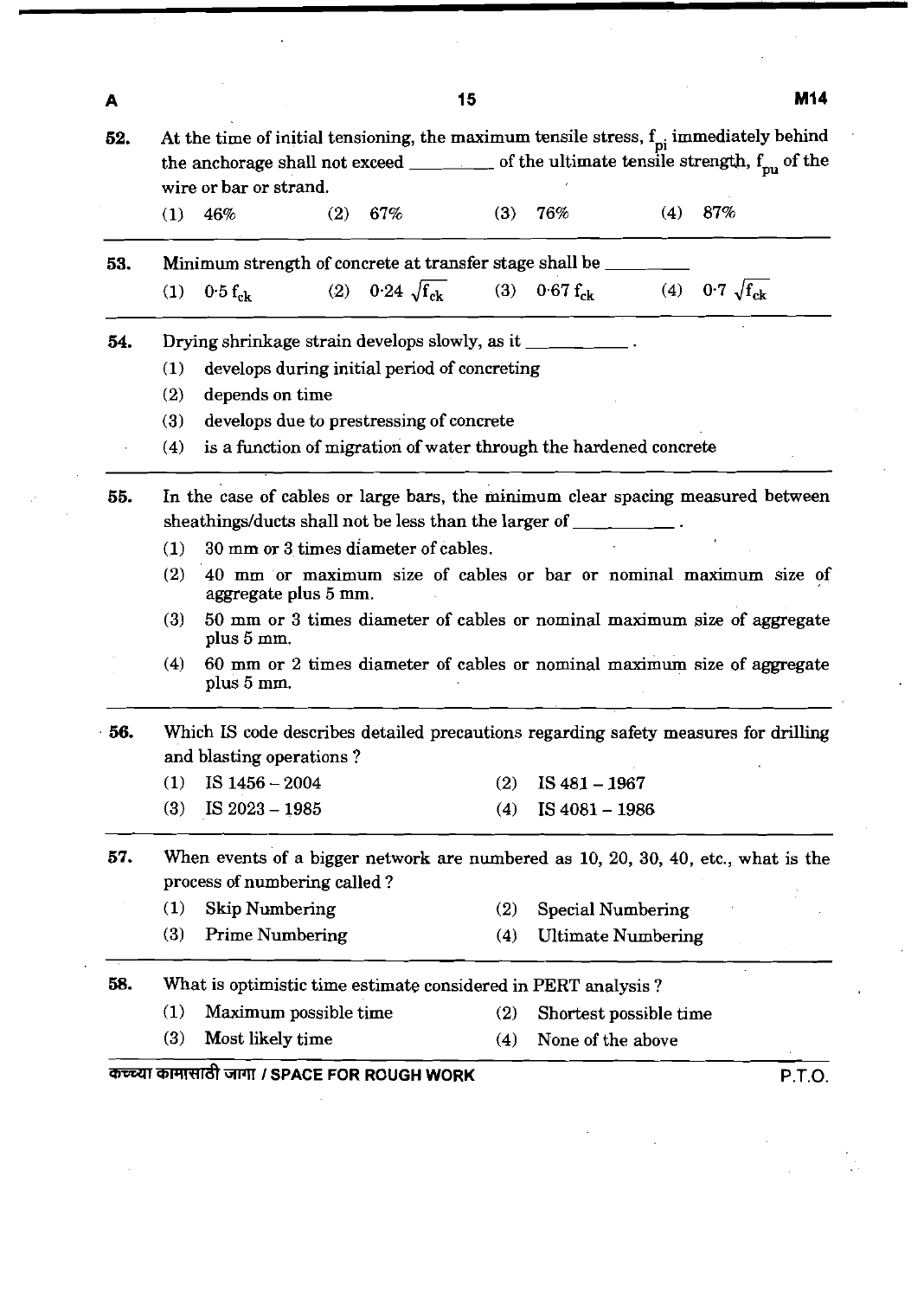| A   |     |                                                                                                                                                                                                                                        |     |        | 15  |                                                                    |     |        | <b>M14</b> |
|-----|-----|----------------------------------------------------------------------------------------------------------------------------------------------------------------------------------------------------------------------------------------|-----|--------|-----|--------------------------------------------------------------------|-----|--------|------------|
| 52. |     | At the time of initial tensioning, the maximum tensile stress, $f_{\text{pi}}$ immediately behind<br>the anchorage shall not exceed $\qquad \qquad$ of the ultimate tensile strength, $f_{\text{pu}}$ of the<br>wire or bar or strand. |     |        |     |                                                                    |     |        |            |
|     | (1) | 46%                                                                                                                                                                                                                                    | (2) | $67\%$ | (3) | 76%                                                                | (4) | $87\%$ |            |
| 53. |     | Minimum strength of concrete at transfer stage shall be _____                                                                                                                                                                          |     |        |     |                                                                    |     |        |            |
|     | (1) | $0.5 f_{\rm ck}$                                                                                                                                                                                                                       |     |        |     | (2) $0.24 \sqrt{f_{ck}}$ (3) $0.67 f_{ck}$ (4) $0.7 \sqrt{f_{ck}}$ |     |        |            |
| 54. |     | Drying shrinkage strain develops slowly, as it _________.                                                                                                                                                                              |     |        |     |                                                                    |     |        |            |
|     | (1) | develops during initial period of concreting                                                                                                                                                                                           |     |        |     |                                                                    |     |        |            |
|     | (2) | depends on time                                                                                                                                                                                                                        |     |        |     |                                                                    |     |        |            |
|     | (3) | develops due to prestressing of concrete                                                                                                                                                                                               |     |        |     |                                                                    |     |        |            |
|     | (4) | is a function of migration of water through the hardened concrete                                                                                                                                                                      |     |        |     |                                                                    |     |        |            |
| 55. |     | In the case of cables or large bars, the minimum clear spacing measured between                                                                                                                                                        |     |        |     |                                                                    |     |        |            |
|     |     |                                                                                                                                                                                                                                        |     |        |     |                                                                    |     |        |            |
|     |     | sheathings/ducts shall not be less than the larger of __________.                                                                                                                                                                      |     |        |     |                                                                    |     |        |            |
|     | (1) | 30 mm or 3 times diameter of cables.                                                                                                                                                                                                   |     |        |     |                                                                    |     |        |            |
|     | (2) | 40 mm or maximum size of cables or bar or nominal maximum size of<br>aggregate plus 5 mm.                                                                                                                                              |     |        |     |                                                                    |     |        |            |
|     | (3) | 50 mm or 3 times diameter of cables or nominal maximum size of aggregate<br>plus 5 mm.                                                                                                                                                 |     |        |     |                                                                    |     |        |            |
|     | (4) | 60 mm or 2 times diameter of cables or nominal maximum size of aggregate<br>plus 5 mm.                                                                                                                                                 |     |        |     |                                                                    |     |        |            |
|     |     | Which IS code describes detailed precautions regarding safety measures for drilling                                                                                                                                                    |     |        |     |                                                                    |     |        |            |
|     | (1) | and blasting operations?<br>IS $1456 - 2004$                                                                                                                                                                                           |     |        | (2) | IS $481 - 1967$                                                    |     |        |            |
| 56. | (3) | IS 2023 - 1985                                                                                                                                                                                                                         |     |        | (4) | IS 4081 - 1986                                                     |     |        |            |
|     |     | When events of a bigger network are numbered as 10, 20, 30, 40, etc., what is the                                                                                                                                                      |     |        |     |                                                                    |     |        |            |
|     |     | process of numbering called?                                                                                                                                                                                                           |     |        |     |                                                                    |     |        |            |
| 57. | (1) | <b>Skip Numbering</b>                                                                                                                                                                                                                  |     |        | (2) | <b>Special Numbering</b>                                           |     |        |            |
|     | (3) | <b>Prime Numbering</b>                                                                                                                                                                                                                 |     |        | (4) | <b>Ultimate Numbering</b>                                          |     |        |            |
| 58. |     | What is optimistic time estimate considered in PERT analysis?                                                                                                                                                                          |     |        |     |                                                                    |     |        |            |
|     | (1) | Maximum possible time                                                                                                                                                                                                                  |     |        | (2) | Shortest possible time                                             |     |        |            |
|     | (3) | Most likely time                                                                                                                                                                                                                       |     |        | (4) | None of the above                                                  |     |        |            |

 $\frac{1}{2}$ 

 $\frac{1}{2} \int_{\mathbb{R}^2} \frac{d\mu}{\mu} \, d\mu$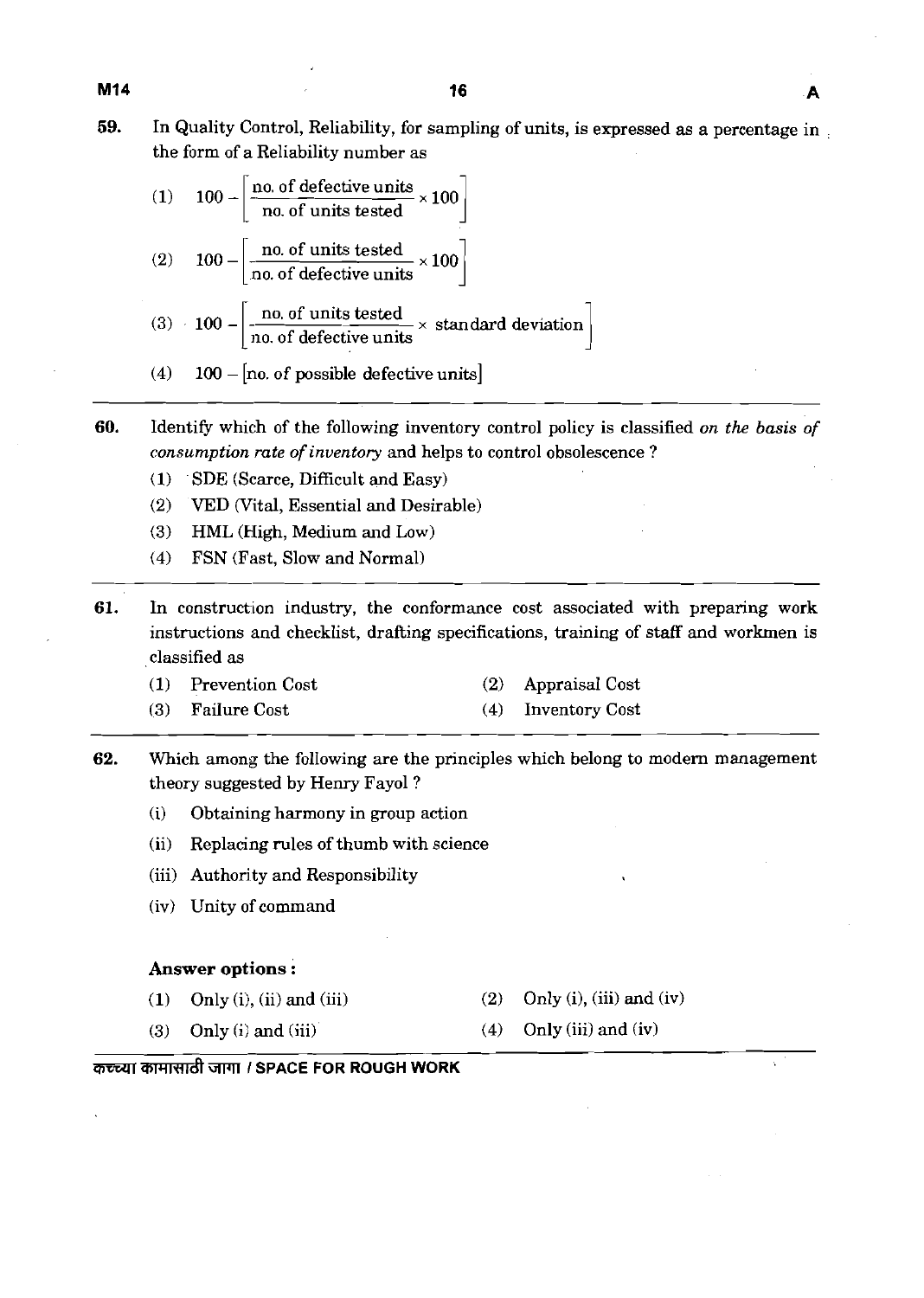**59.** In Quality Control, Reliability, for sampling of units, is expressed as a percentage in the form of a Reliability number as

|  | (1) $100 - \left[\frac{\text{no. of defective units}}{\text{no. of units tested}} \times 100\right]$          |
|--|---------------------------------------------------------------------------------------------------------------|
|  | (2) $100 - \left[\frac{\text{no. of units tested}}{\text{no. of defective units}} \times 100\right]$          |
|  | (3) 100 - $\frac{\text{no. of units tested}}{\text{no. of defective units}} \times \text{standard deviation}$ |
|  |                                                                                                               |

- (4)  $100 -$  [no. of possible defective units]
- **60.** Identify which of the following inventory control policy is classified on the basis of consumption rate of inventory and helps to control obsolescence ?
	- (1) SDE (Scarce, Difficult and Easy)
	- (2) VED (Vital, Essential and Desirable)
	- (3) HML (High, Medium and Low)
	- (4) FSN (Fast, Slow and Normal)
- **61.** In construction industry, the conformance cost associated with preparing work instructions and checklist, drafting specifications, training of staff and workmen is classified as
	- (1) Prevention Cost (2) Appraisal Cost
	- (3) Failure Cost (4) Inventory Cost
- **62.** Which among the following are the principles which belong to modern management theory suggested by Henry Fayol?
	- (i) Obtaining harmony in group action
	- (ii) Replacing rules of thumb with science
	- (iii) Authority and Responsibility
	- (iv) Unity of command

#### **Answer options** :

- 
- (1) Only (i), (ii) and (iii) (2) Only (i), (iii) and (iv)
- (3) Only (i) and (iii) (4) Only (iii) and (iv)
- 

#### कच्च्या कामासाठी जागा *।* SPACE FOR ROUGH WORK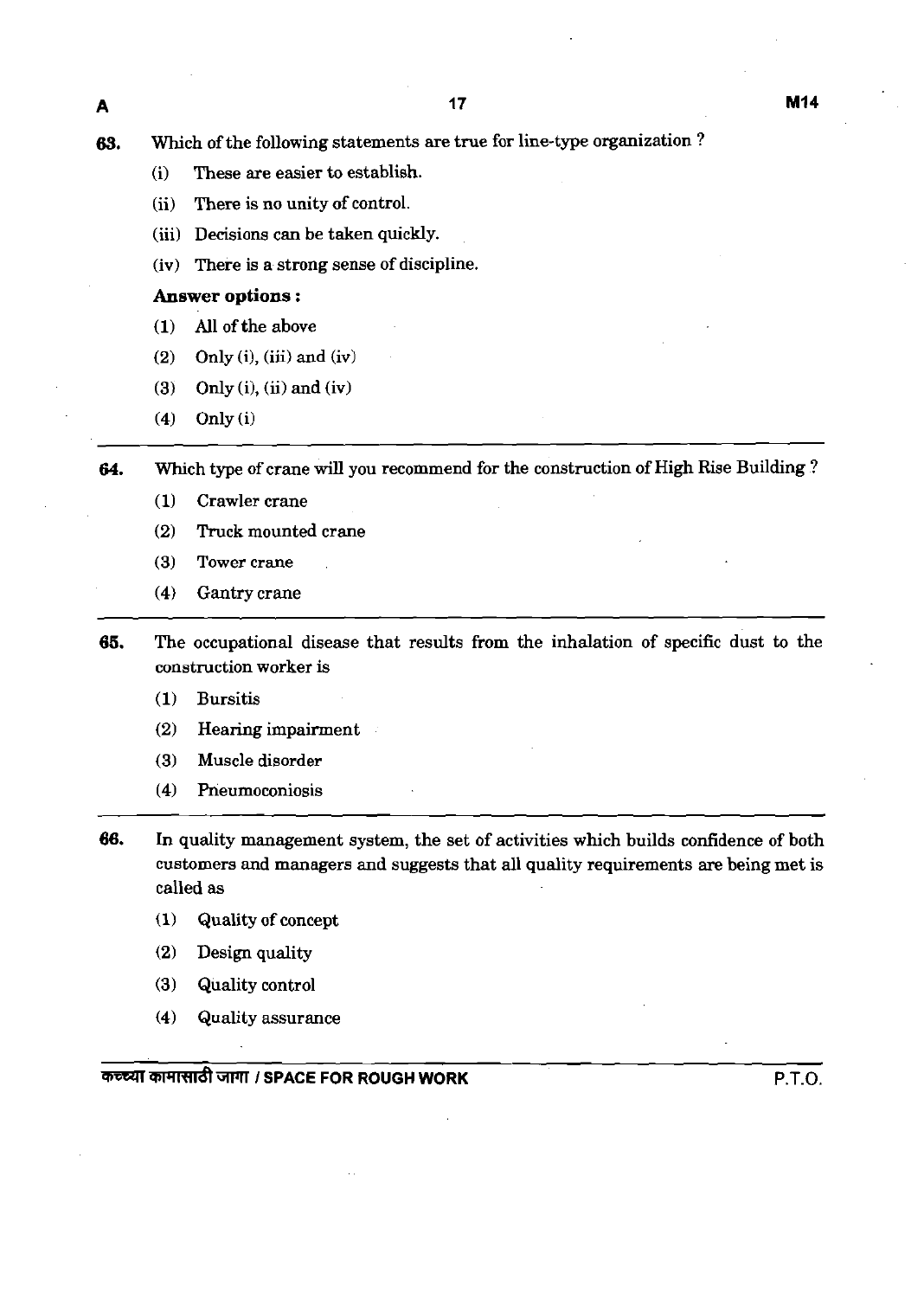- (i) These are easier to establish.
- (ii) There is no unity of control.
- (iii) Decisions can be taken quickly.
- (iv) There is a strong sense of discipline.

#### **Answer** options :

- (1) All of the above
- (2) Only **(i),** (iii) and (iv)
- $(3)$  Only  $(i)$ ,  $(ii)$  and  $(iv)$
- (4) Only (i)

**64.** Which type of crane will you recommend for the construction of High Rise Building ?

- (1) Crawler crane
- (2) Truck mounted crane
- (3) Tower crane
- (4) Gantry crane
- **65.** The occupational disease that results from the inhalation of specific dust to the construction worker is
	- (1) Bursitis
	- (2) Hearing impairment
	- (3) Muscle disorder
	- (4) Pneumoconiosis
- **66.** In quality management system, the set of activities which builds confidence of both customers and managers and suggests that all quality requirements are being met is called as
	- **1** Quality of concept
	- (2) Design quality
	- (3) Quality control
	- (4) Quality assurance

**WWFd** WJl'I **I SPACE FOR ROUGH WORK** P.T.O.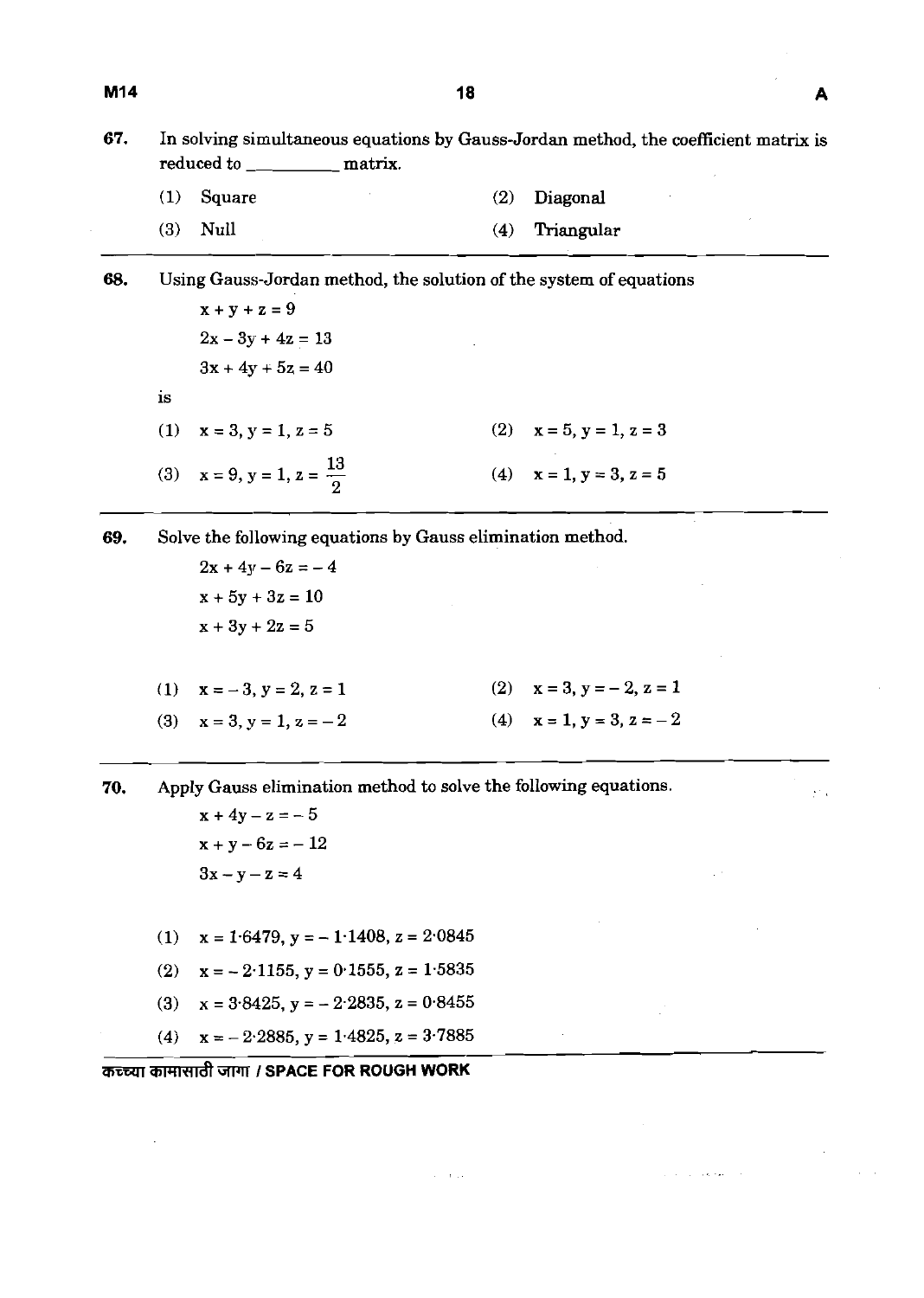**67. In solving simultaneous equations by Gauss-Jordan method, the coefficient matrix is**  reduced to \_\_\_\_\_\_\_\_\_\_\_\_\_\_ matrix.

- **(1) Square (2) Diagonal**
- **(3) Null (4) Triangular**

**68. Using Gauss-Jordan method, the solution of the system of equations**   $x + y + z = 9$  $2x - 3y + 4z = 13$  $3x + 4y + 5z = 40$ **is**  (1)  $x = 3, y = 1, z = 5$  (2)  $x = 5, y = 1, z = 3$ (3)  $x = 9, y = 1, z = \frac{13}{2}$ (4)  $x = 1, y = 3, z = 5$ 

**69. Solve the following equations by Gauss elimination method.** 

- $2x + 4y 6z = -4$  $x + 5y + 3z = 10$  $x + 3y + 2z = 5$
- (2)  $x = 3, y = -2, z = 1$ (1)  $x = -3, y = 2, z = 1$ (3)  $x = 3, y = 1, z = -2$ (4)  $x = 1, y = 3, z = -2$

 $\tau = \tau/\tau$  .

موجهون والمرادي

**70. Apply Gauss elimination method to solve the following equations.** 

 $x + 4y - z = -5$  $x + y - 6z = -12$  $3x - y - z = 4$ 

- (1)  $x = 1.6479$ ,  $y = -1.1408$ ,  $z = 2.0845$
- $x = -2.1155$ ,  $y = 0.1555$ ,  $z = 1.5835$  $(2)$
- (3)  $x = 3.8425$ ,  $y = -2.2835$ ,  $z = 0.8455$
- **(4) x** = **2.2885, y** = **1,4825, z** = **3.7885**

**mmr;rrrdtm I SPACE FOR ROUGH WORK**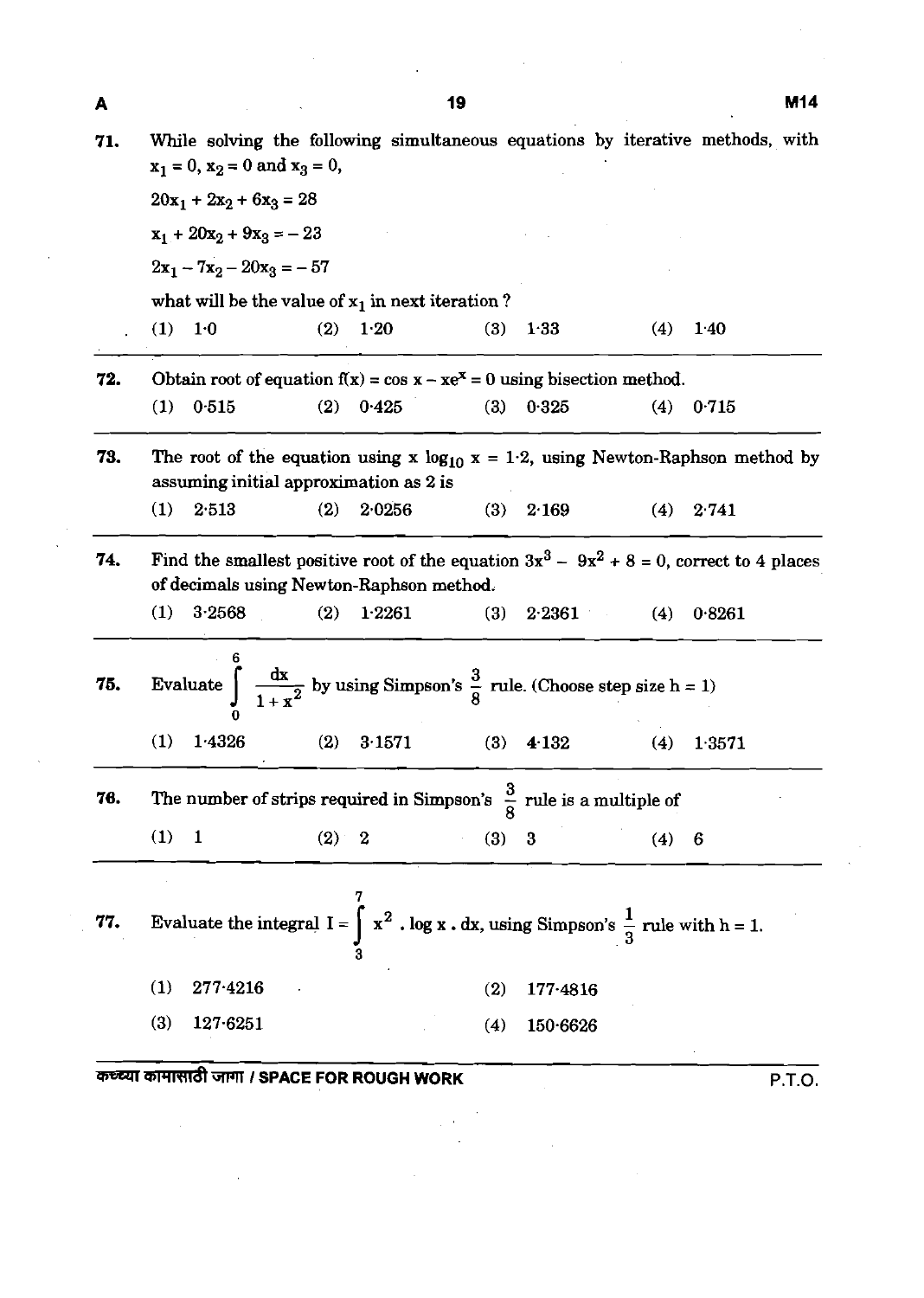| A   |                            |                                                                                                             |       |        | 19  |          |     | M14                                                                                         |  |  |  |
|-----|----------------------------|-------------------------------------------------------------------------------------------------------------|-------|--------|-----|----------|-----|---------------------------------------------------------------------------------------------|--|--|--|
| 71. |                            | $x_1 = 0$ , $x_2 = 0$ and $x_3 = 0$ ,                                                                       |       |        |     |          |     | While solving the following simultaneous equations by iterative methods, with               |  |  |  |
|     | $20x_1 + 2x_2 + 6x_3 = 28$ |                                                                                                             |       |        |     |          |     |                                                                                             |  |  |  |
|     |                            | $x_1 + 20x_2 + 9x_3 = -23$                                                                                  |       |        |     |          |     |                                                                                             |  |  |  |
|     |                            | $2x_1 - 7x_2 - 20x_3 = -57$                                                                                 |       |        |     |          |     |                                                                                             |  |  |  |
|     |                            | what will be the value of $x_1$ in next iteration?                                                          |       |        |     |          |     |                                                                                             |  |  |  |
|     | (1)                        | 1 <sub>0</sub>                                                                                              | (2)   | $1-20$ | (3) | 1.33     | (4) | 1.40                                                                                        |  |  |  |
| 72. |                            | Obtain root of equation $f(x) = \cos x - xe^x = 0$ using bisection method.                                  |       |        |     |          |     |                                                                                             |  |  |  |
|     | (1)                        | 0.515                                                                                                       | (2)   | 0.425  | (3) | 0.325    | (4) | 0.715                                                                                       |  |  |  |
| 73. |                            | assuming initial approximation as 2 is                                                                      |       |        |     |          |     | The root of the equation using x $log_{10} x = 1.2$ , using Newton-Raphson method by        |  |  |  |
|     | (1)                        | 2513                                                                                                        | (2)   | 2.0256 | (3) | 2.169    | (4) | 2.741                                                                                       |  |  |  |
| 74. |                            | of decimals using Newton-Raphson method.                                                                    |       |        |     |          |     | Find the smallest positive root of the equation $3x^3 - 9x^2 + 8 = 0$ , correct to 4 places |  |  |  |
|     | (1)                        | 3.2568                                                                                                      | (2)   | 1.2261 | (3) | 2.2361   | (4) | 0.8261                                                                                      |  |  |  |
| 75. |                            | Evaluate $\int \frac{dx}{1+x^2}$ by using Simpson's $\frac{3}{8}$ rule. (Choose step size h = 1)            |       |        |     |          |     |                                                                                             |  |  |  |
|     | (1)                        | 1.4326                                                                                                      | (2)   | 3.1571 | (3) | 4.132    | (4) | 1.3571                                                                                      |  |  |  |
| 76. |                            | The number of strips required in Simpson's $\frac{3}{8}$ rule is a multiple of                              |       |        |     |          |     |                                                                                             |  |  |  |
|     | (1)                        | $\mathbf{1}$                                                                                                | (2) 2 |        | (3) | $\bf{3}$ | (4) | 6                                                                                           |  |  |  |
|     |                            |                                                                                                             |       |        |     |          |     |                                                                                             |  |  |  |
| 77. |                            | Evaluate the integral $I = \int_{2}^{1} x^2$ . log x. dx, using Simpson's $\frac{1}{3}$ rule with $h = 1$ . |       |        |     |          |     |                                                                                             |  |  |  |
|     | (1)                        | $277 - 4216$                                                                                                |       |        | (2) | 177.4816 |     |                                                                                             |  |  |  |
|     | (3)                        | $127-6251$                                                                                                  |       |        | (4) | 150.6626 |     |                                                                                             |  |  |  |
|     |                            |                                                                                                             |       |        |     |          |     |                                                                                             |  |  |  |

 $\frac{1}{2} \left( \frac{1}{2} \right)$ 

 $\mathcal{A}$ 

 $\Delta \sim 10^{11}$  m  $^{-1}$ 

 $\hat{\mathcal{A}}$ 

and the company of the

 $\mathcal{L}^{\mathcal{A}}$ 

 $\hat{\mathcal{A}}$ 

**me** WJll **I SPACE FOR ROUGH WORK** P.T.O.

 $\mathcal{A}^{\mathcal{A}}$ 

 $\sim 10^7$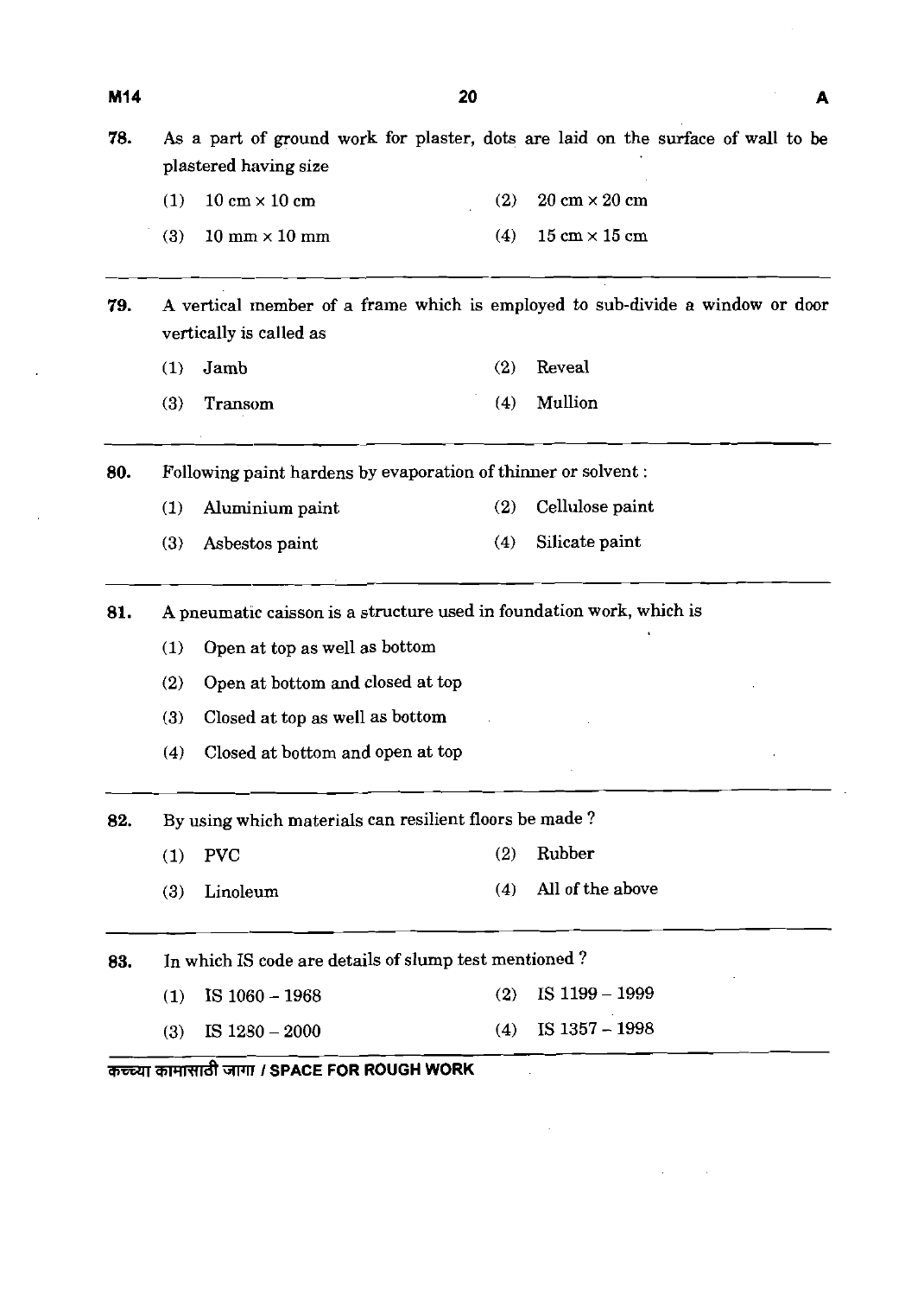| 78. | As a part of ground work for plaster, dots are laid on the surface of wall to be<br>plastered having size |                                                                      |     |                                      |  |
|-----|-----------------------------------------------------------------------------------------------------------|----------------------------------------------------------------------|-----|--------------------------------------|--|
|     | (1)                                                                                                       | $10 \text{ cm} \times 10 \text{ cm}$                                 | (2) | $20 \text{ cm} \times 20 \text{ cm}$ |  |
|     | (3)                                                                                                       | $10 \text{ mm} \times 10 \text{ mm}$                                 | (4) | $15 \text{ cm} \times 15 \text{ cm}$ |  |
| 79. | A vertical member of a frame which is employed to sub-divide a window or door<br>vertically is called as  |                                                                      |     |                                      |  |
|     | (1)                                                                                                       | Jamb                                                                 | (2) | Reveal                               |  |
|     | (3)                                                                                                       | Transom                                                              | (4) | Mullion                              |  |
| 80. | Following paint hardens by evaporation of thinner or solvent:                                             |                                                                      |     |                                      |  |
|     | (1)                                                                                                       | Aluminium paint                                                      | (2) | Cellulose paint                      |  |
|     | (3)                                                                                                       | Asbestos paint                                                       | (4) | Silicate paint                       |  |
| 81. |                                                                                                           | A pneumatic caisson is a structure used in foundation work, which is |     |                                      |  |
|     | (1)                                                                                                       | Open at top as well as bottom                                        |     |                                      |  |
|     | (2)                                                                                                       | Open at bottom and closed at top                                     |     |                                      |  |
|     | (3)                                                                                                       | Closed at top as well as bottom                                      |     |                                      |  |
|     | (4)                                                                                                       | Closed at bottom and open at top                                     |     |                                      |  |
| 82. | By using which materials can resilient floors be made?                                                    |                                                                      |     |                                      |  |
|     | (1)                                                                                                       | <b>PVC</b>                                                           | (2) | Rubber                               |  |
|     | (3)                                                                                                       | Linoleum                                                             | (4) | All of the above                     |  |
| 83. | In which IS code are details of slump test mentioned?                                                     |                                                                      |     |                                      |  |
|     | (1)                                                                                                       | IS $1060 - 1968$                                                     | (2) | IS 1199 - 1999                       |  |
|     | (3)                                                                                                       | IS $1280 - 2000$                                                     | (4) | IS 1357 - 1998                       |  |

 $\label{eq:2.1} \mathcal{L}(\mathcal{L}^{\text{max}}_{\mathcal{L}}(\mathcal{L}^{\text{max}}_{\mathcal{L}}(\mathcal{L}^{\text{max}}_{\mathcal{L}}(\mathcal{L}^{\text{max}}_{\mathcal{L}^{\text{max}}_{\mathcal{L}}(\mathcal{L}^{\text{max}}_{\mathcal{L}^{\text{max}}_{\mathcal{L}^{\text{max}}_{\mathcal{L}^{\text{max}}_{\mathcal{L}^{\text{max}}_{\mathcal{L}^{\text{max}}_{\mathcal{L}^{\text{max}}_{\mathcal{L}^{\text{max}}_{\mathcal{L}^{\text{max}}$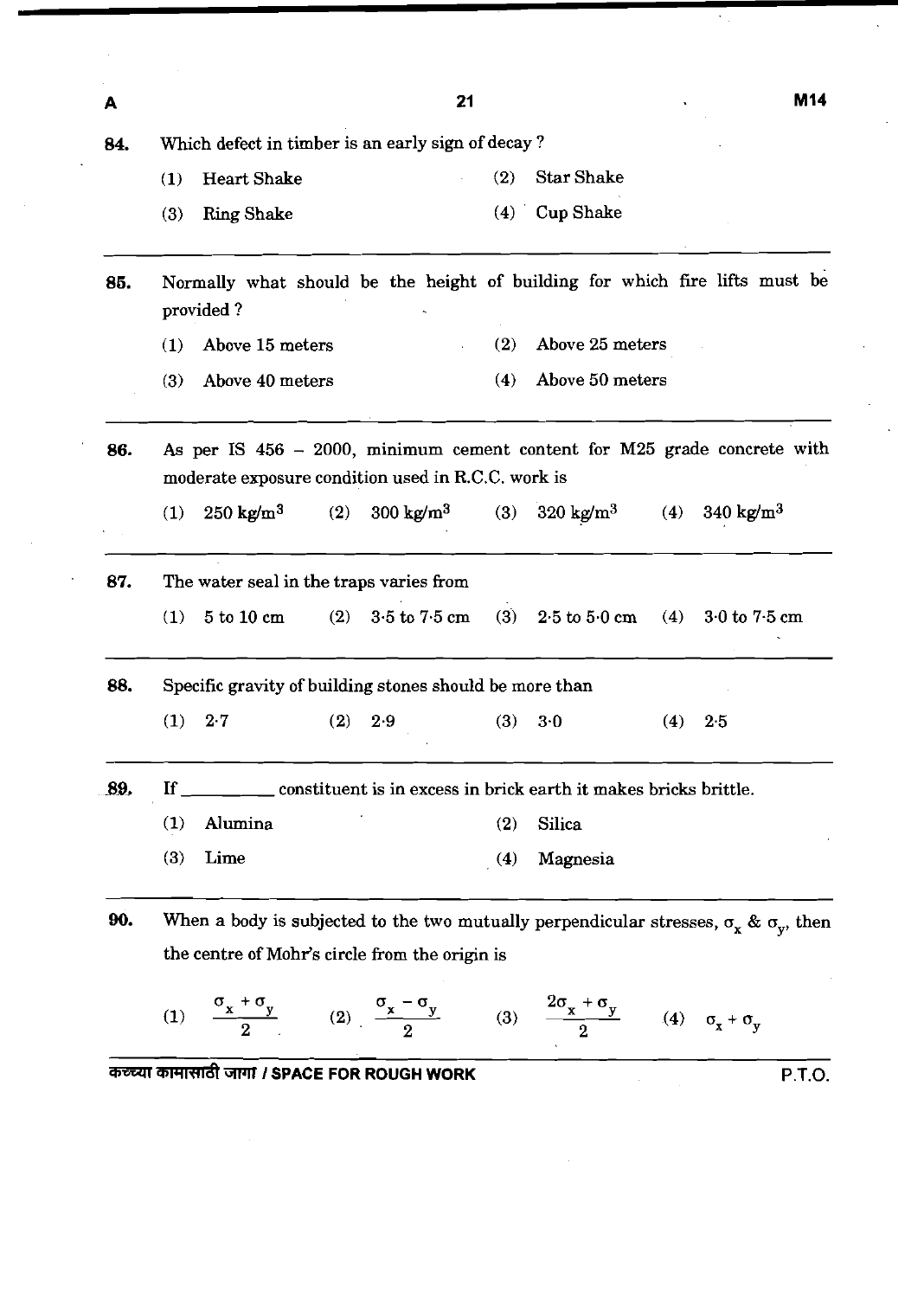| A      |                                                                                                                                        | 21                          | M <sub>14</sub>              |  |
|--------|----------------------------------------------------------------------------------------------------------------------------------------|-----------------------------|------------------------------|--|
| 84.    | Which defect in timber is an early sign of decay?                                                                                      |                             |                              |  |
|        | <b>Heart Shake</b><br>(1)                                                                                                              | <b>Star Shake</b><br>(2)    |                              |  |
|        | (3)<br><b>Ring Shake</b>                                                                                                               | <b>Cup Shake</b><br>(4)     |                              |  |
| 85.    | Normally what should be the height of building for which fire lifts must be<br>provided?                                               |                             |                              |  |
|        | Above 15 meters<br>(1)                                                                                                                 | (2)<br>Above 25 meters      |                              |  |
|        | Above 40 meters<br>(3)                                                                                                                 | Above 50 meters<br>(4)      |                              |  |
| 86.    | As per IS $456 - 2000$ , minimum cement content for M25 grade concrete with<br>moderate exposure condition used in R.C.C. work is      |                             |                              |  |
|        | $250 \text{ kg/m}^3$<br>$300 \text{ kg/m}^3$<br>(2)<br>(1)                                                                             | $320 \text{ kg/m}^3$<br>(3) | 340 kg/m <sup>3</sup><br>(4) |  |
| 87.    | The water seal in the traps varies from                                                                                                |                             |                              |  |
|        | 3.5 to 7.5 cm<br>5 to 10 cm<br>(2)<br>(1)                                                                                              | $(3)$ 2.5 to 5.0 cm         | $(4)$ 3 0 to 7 5 cm          |  |
| 88.    | Specific gravity of building stones should be more than                                                                                |                             |                              |  |
|        | (1)<br>$2-7$<br>(2)<br>2.9                                                                                                             | (3)<br>3.0                  | (4)<br>2.5                   |  |
| $-89.$ | $\mathbf{H}$<br>______ constituent is in excess in brick earth it makes bricks brittle.                                                |                             |                              |  |
|        | Alumina<br>(1)                                                                                                                         | Silica<br>(2)               |                              |  |
|        | (3)<br>Lime                                                                                                                            | Magnesia<br>(4)             |                              |  |
| 90.    | When a body is subjected to the two mutually perpendicular stresses, $\sigma_x \& \sigma_y$ , then                                     |                             |                              |  |
|        | the centre of Mohr's circle from the origin is                                                                                         |                             |                              |  |
|        | (1) $\frac{\sigma_x + \sigma_y}{2}$ (2) $\frac{\sigma_x - \sigma_y}{2}$ (3) $\frac{2\sigma_x + \sigma_y}{2}$ (4) $\sigma_x + \sigma_y$ |                             |                              |  |

 $\mathcal{L}^{\text{max}}_{\text{max}}$  and  $\mathcal{L}^{\text{max}}_{\text{max}}$ 

 $\sim$   $\sim$ 

 $\sum_{i=1}^{n}$ 

 $\bar{\mathcal{A}}$ 

 $\hat{\boldsymbol{\beta}}$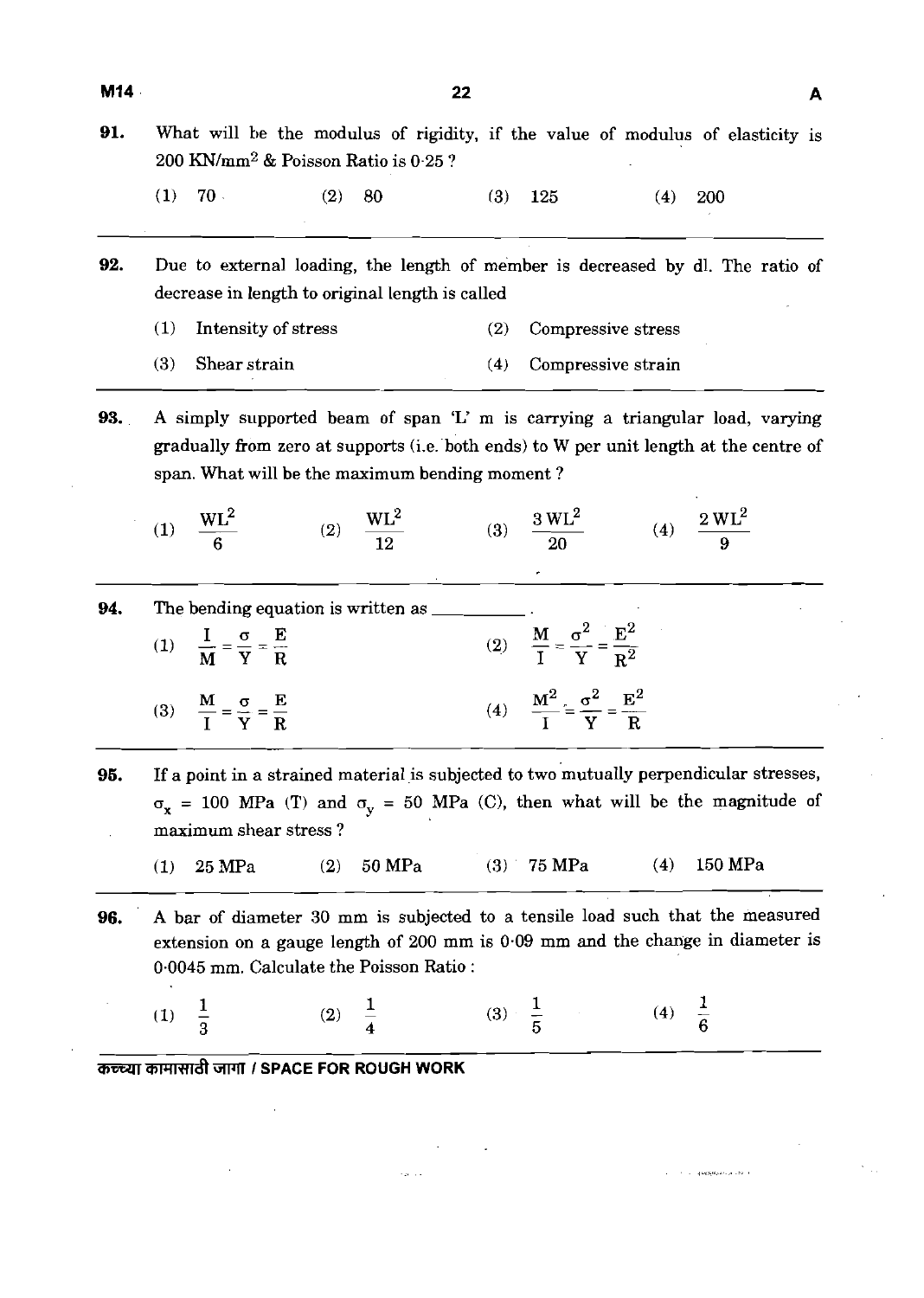- **91.** What will be the modulus of rigidity, if the value of modulus of elasticity is  $200$  KN/mm<sup>2</sup> & Poisson Ratio is 0.25 ?
	- (1) 70 (2) 80 (3) 125 (4) 200
- **92.** Due to external loading, the length of member is decreased by dl. The ratio of decrease in length to original length is called
	- (1) Intensity of stress (2) Compressive stress
	- (3) Shear strain (4) Compressive strain
- **93. A** simply supported beam of span 'L' m is carrying a triangular load, varying gradually from zero at supports (i.e. both ends) to W per unit length at the centre of span. What will be the maximum bending moment ?

(2)  $\frac{WL^2}{12}$  (3)  $\frac{3 WL^2}{20}$  (4)  $\frac{2 WL^2}{9}$ (1)  $\frac{WL^2}{c}$ 

**94.** The bending equation is written as  $\blacksquare$ (1)  $\frac{I}{M} = \frac{\sigma}{v} = \frac{E}{R}$  (2)  $\frac{M}{I} = \frac{\sigma^2}{v} = \frac{E^2}{r^2}$ M Y R  $I \ Y \ R^2$ (3)  $\frac{M}{I} = \frac{\sigma}{I} = \frac{E}{R}$ IYR (2)  $\frac{M}{I} = \frac{0}{Y} = \frac{E}{R^2}$ <br>
(4)  $\frac{M^2}{I} = \frac{\sigma^2}{Y} = \frac{E^2}{R}$ 

**95.** If a point in a strained material is subjected to two mutually perpendicular stresses,  $\sigma_x$  = 100 MPa (T) and  $\sigma_y$  = 50 MPa (C), then what will be the magnitude of maximum shear stress ? -

(1) 25 MPa (2) 50 MPa (3) 75 MPa (4) 150 MPa

**96. A** bar of diameter 30 mm is subjected to a tensile load such that the measured extension on a gauge length of 200 mm is 0.09 mm and the change in diameter is 0.0045 mm. Calculate the Poisson Ratio :

| (1) $\frac{1}{3}$ | (2) $\frac{1}{4}$ | (3) $\frac{1}{5}$ | (4) $\frac{1}{6}$ |
|-------------------|-------------------|-------------------|-------------------|
|-------------------|-------------------|-------------------|-------------------|

M **mmnrrdt** TPll **I SPACE FOR ROUGH WORK**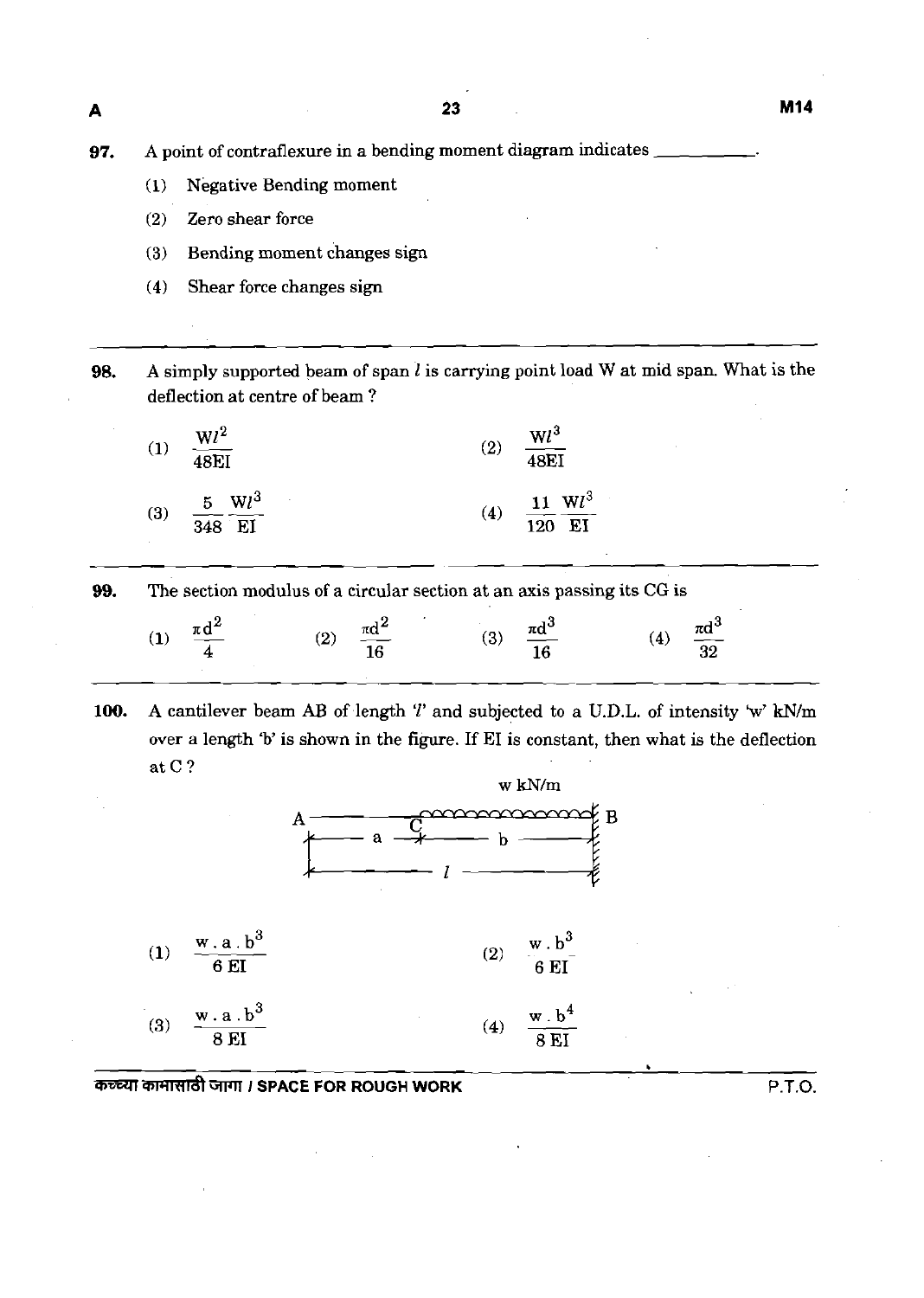23

**97.** A point of contraflexure in a bending moment diagram indicates \_

- **(1)** Negative Bending moment
- **(2)** Zero shear force

-

- **(3)** Bending moment changes sign
- **(4)** Shear force changes sign

**98.** A simply supported beam of span l is carrying point load W at mid span. What is the deflection at centre of beam ?

| $\bf(1)$         | $\frac{Wl^2}{48EI}$                                   | (2) | $\frac{Wl^3}{48EI}$              |
|------------------|-------------------------------------------------------|-----|----------------------------------|
| $\left(3\right)$ | $\frac{5}{348} \frac{Wl^3}{EI}$<br>$\sim 10^{-10}$ km | (4) | $\frac{11}{120} \frac{Wl^3}{EI}$ |

**99.** The section modulus of a circular section at an axis passing its CG is

| $\frac{\pi d^2}{4}$ | $\frac{\pi d^2}{16}$ | ) $\frac{\pi d^3}{16}$ | $\frac{\pi d^3}{32}$ |
|---------------------|----------------------|------------------------|----------------------|
| $\mathbf{I}$        | (2)                  | (3)                    | (4)                  |

**100.** A cantilever beam AB of length  $T$  and subjected to a U.D.L. of intensity 'w' kN/m over a length 'b' is shown in the figure. If EI is constant, then what is the deflection at C?



*GWlll* **SPACE FOR ROUGH WORK** P.T.O.